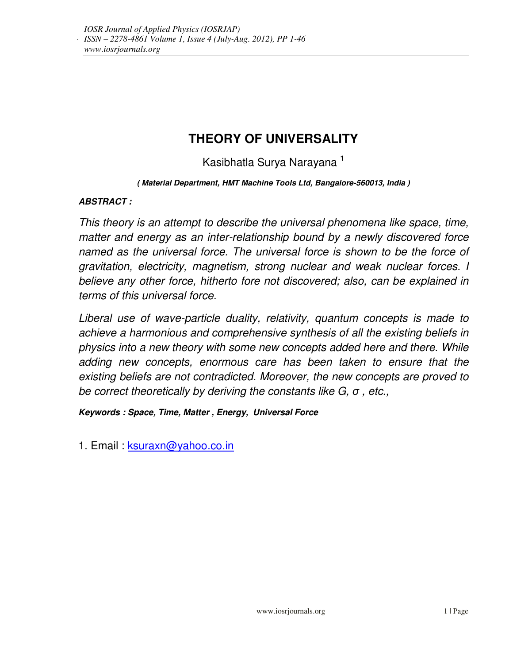# **THEORY OF UNIVERSALITY**

Kasibhatla Surya Narayana **<sup>1</sup>**

#### **( Material Department, HMT Machine Tools Ltd, Bangalore-560013, India )**

#### **ABSTRACT :**

This theory is an attempt to describe the universal phenomena like space, time, matter and energy as an inter-relationship bound by a newly discovered force named as the universal force. The universal force is shown to be the force of gravitation, electricity, magnetism, strong nuclear and weak nuclear forces. I believe any other force, hitherto fore not discovered; also, can be explained in terms of this universal force.

Liberal use of wave-particle duality, relativity, quantum concepts is made to achieve a harmonious and comprehensive synthesis of all the existing beliefs in physics into a new theory with some new concepts added here and there. While adding new concepts, enormous care has been taken to ensure that the existing beliefs are not contradicted. Moreover, the new concepts are proved to be correct theoretically by deriving the constants like  $G$ ,  $\sigma$ , etc.,

**Keywords : Space, Time, Matter , Energy, Universal Force** 

1. Email : ksuraxn@yahoo.co.in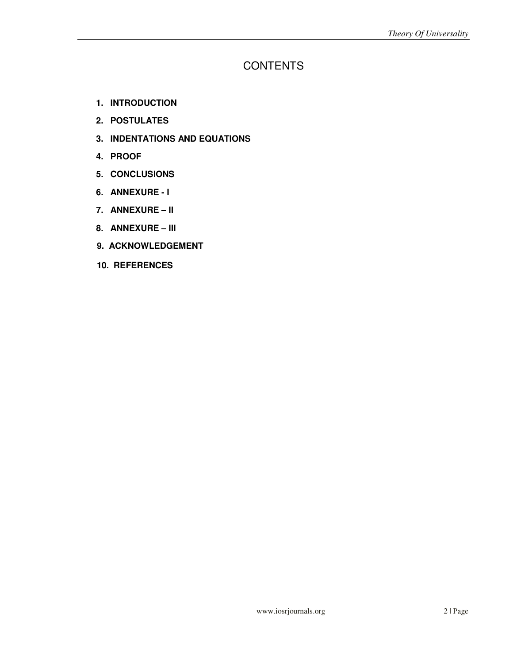## **CONTENTS**

- **1. INTRODUCTION**
- **2. POSTULATES**
- **3. INDENTATIONS AND EQUATIONS**
- **4. PROOF**
- **5. CONCLUSIONS**
- **6. ANNEXURE I**
- **7. ANNEXURE II**
- **8. ANNEXURE III**
- **9. ACKNOWLEDGEMENT**
- **10. REFERENCES**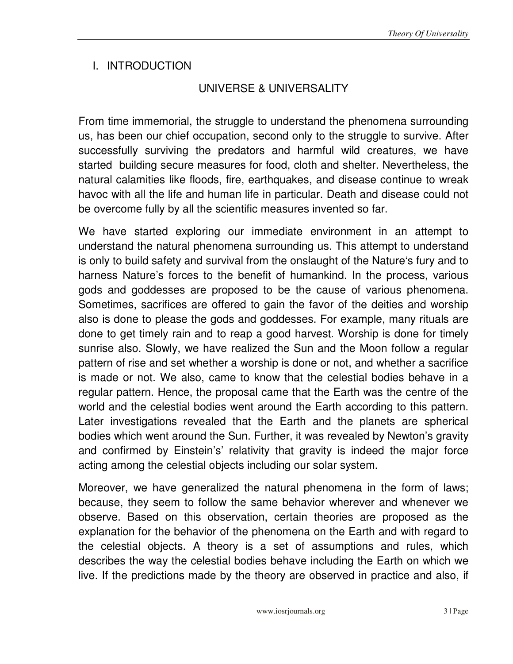# I. INTRODUCTION

# UNIVERSE & UNIVERSALITY

From time immemorial, the struggle to understand the phenomena surrounding us, has been our chief occupation, second only to the struggle to survive. After successfully surviving the predators and harmful wild creatures, we have started building secure measures for food, cloth and shelter. Nevertheless, the natural calamities like floods, fire, earthquakes, and disease continue to wreak havoc with all the life and human life in particular. Death and disease could not be overcome fully by all the scientific measures invented so far.

We have started exploring our immediate environment in an attempt to understand the natural phenomena surrounding us. This attempt to understand is only to build safety and survival from the onslaught of the Nature's fury and to harness Nature's forces to the benefit of humankind. In the process, various gods and goddesses are proposed to be the cause of various phenomena. Sometimes, sacrifices are offered to gain the favor of the deities and worship also is done to please the gods and goddesses. For example, many rituals are done to get timely rain and to reap a good harvest. Worship is done for timely sunrise also. Slowly, we have realized the Sun and the Moon follow a regular pattern of rise and set whether a worship is done or not, and whether a sacrifice is made or not. We also, came to know that the celestial bodies behave in a regular pattern. Hence, the proposal came that the Earth was the centre of the world and the celestial bodies went around the Earth according to this pattern. Later investigations revealed that the Earth and the planets are spherical bodies which went around the Sun. Further, it was revealed by Newton's gravity and confirmed by Einstein's' relativity that gravity is indeed the major force acting among the celestial objects including our solar system.

Moreover, we have generalized the natural phenomena in the form of laws; because, they seem to follow the same behavior wherever and whenever we observe. Based on this observation, certain theories are proposed as the explanation for the behavior of the phenomena on the Earth and with regard to the celestial objects. A theory is a set of assumptions and rules, which describes the way the celestial bodies behave including the Earth on which we live. If the predictions made by the theory are observed in practice and also, if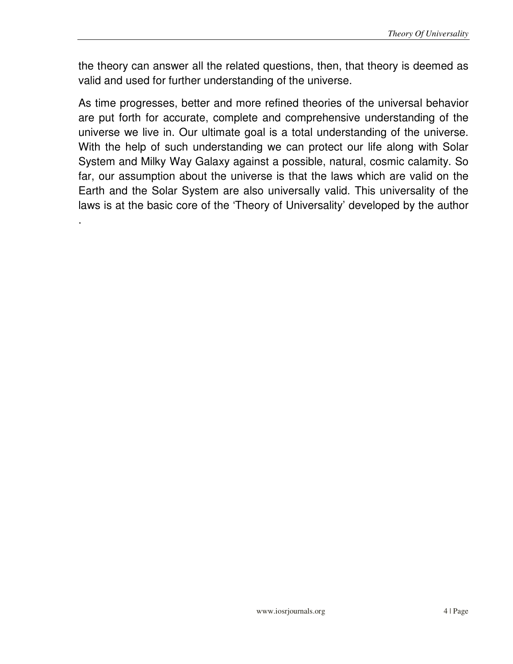the theory can answer all the related questions, then, that theory is deemed as valid and used for further understanding of the universe.

As time progresses, better and more refined theories of the universal behavior are put forth for accurate, complete and comprehensive understanding of the universe we live in. Our ultimate goal is a total understanding of the universe. With the help of such understanding we can protect our life along with Solar System and Milky Way Galaxy against a possible, natural, cosmic calamity. So far, our assumption about the universe is that the laws which are valid on the Earth and the Solar System are also universally valid. This universality of the laws is at the basic core of the 'Theory of Universality' developed by the author

.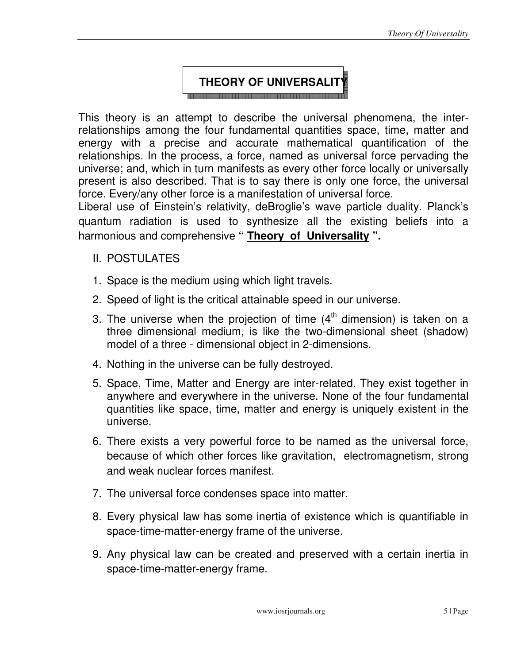#### **THEORY OF UNIVERSALIT**

This theory is an attempt to describe the universal phenomena, the interrelationships among the four fundamental quantities space, time, matter and energy with a precise and accurate mathematical quantification of the relationships. In the process, a force, named as universal force pervading the universe; and, which in turn manifests as every other force locally or universally present is also described. That is to say there is only one force, the universal force. Every/any other force is a manifestation of universal force.

Liberal use of Einstein's relativity, deBroglie's wave particle duality. Planck's quantum radiation is used to synthesize all the existing beliefs into a harmonious and comprehensive **" Theory of Universality ".**

#### II. POSTULATES

- 1. Space is the medium using which light travels.
- 2. Speed of light is the critical attainable speed in our universe.
- 3. The universe when the projection of time  $(4<sup>th</sup>$  dimension) is taken on a three dimensional medium, is like the two-dimensional sheet (shadow) model of a three - dimensional object in 2-dimensions.
- 4. Nothing in the universe can be fully destroyed.
- 5. Space, Time, Matter and Energy are inter-related. They exist together in anywhere and everywhere in the universe. None of the four fundamental quantities like space, time, matter and energy is uniquely existent in the universe.
- 6. There exists a very powerful force to be named as the universal force, because of which other forces like gravitation, electromagnetism, strong and weak nuclear forces manifest.
- 7. The universal force condenses space into matter.
- 8. Every physical law has some inertia of existence which is quantifiable in space-time-matter-energy frame of the universe.
- 9. Any physical law can be created and preserved with a certain inertia in space-time-matter-energy frame.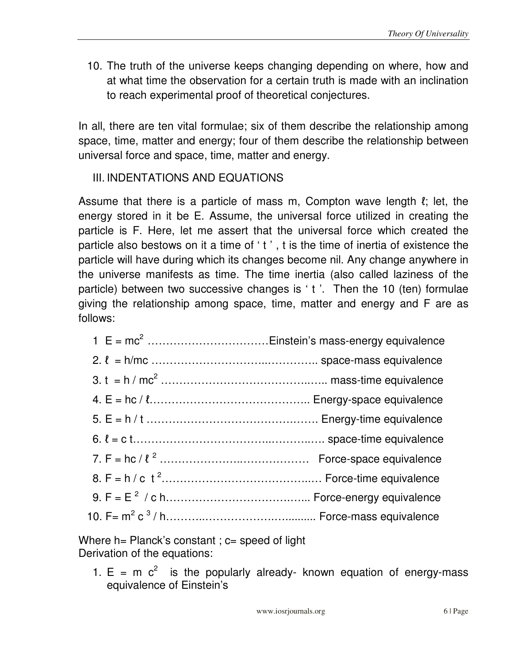10. The truth of the universe keeps changing depending on where, how and at what time the observation for a certain truth is made with an inclination to reach experimental proof of theoretical conjectures.

In all, there are ten vital formulae; six of them describe the relationship among space, time, matter and energy; four of them describe the relationship between universal force and space, time, matter and energy.

# III. INDENTATIONS AND EQUATIONS

Assume that there is a particle of mass m, Compton wave length  $\ell$ ; let, the energy stored in it be E. Assume, the universal force utilized in creating the particle is F. Here, let me assert that the universal force which created the particle also bestows on it a time of ' t ' , t is the time of inertia of existence the particle will have during which its changes become nil. Any change anywhere in the universe manifests as time. The time inertia (also called laziness of the particle) between two successive changes is ' t '. Then the 10 (ten) formulae giving the relationship among space, time, matter and energy and F are as follows:

Where  $h =$  Planck's constant ;  $c =$  speed of light Derivation of the equations:

1.  $E = m c<sup>2</sup>$  is the popularly already- known equation of energy-mass equivalence of Einstein's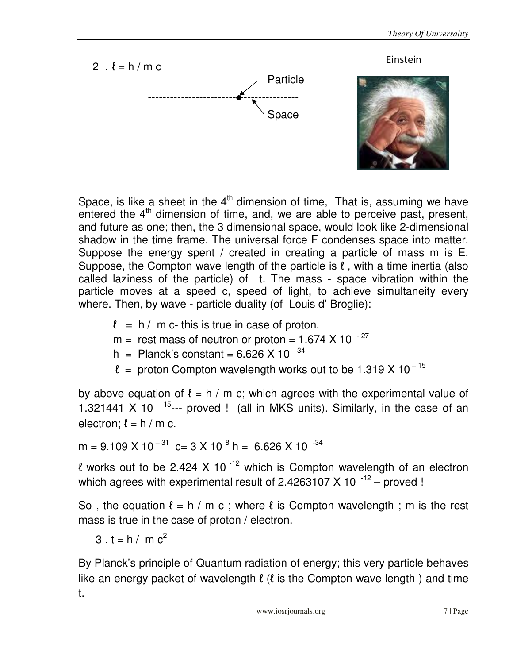

Space, is like a sheet in the  $4<sup>th</sup>$  dimension of time, That is, assuming we have entered the  $4<sup>th</sup>$  dimension of time, and, we are able to perceive past, present, and future as one; then, the 3 dimensional space, would look like 2-dimensional shadow in the time frame. The universal force F condenses space into matter. Suppose the energy spent / created in creating a particle of mass m is E. Suppose, the Compton wave length of the particle is  $\ell$ , with a time inertia (also called laziness of the particle) of t. The mass - space vibration within the particle moves at a speed c, speed of light, to achieve simultaneity every where. Then, by wave - particle duality (of Louis d' Broglie):

- $\ell = h / m c$  this is true in case of proton.
- $m =$  rest mass of neutron or proton = 1.674 X 10  $^{-27}$
- h = Planck's constant =  $6.626$  X 10<sup>-34</sup>
- $\ell$  = proton Compton wavelength works out to be 1.319 X 10<sup>-15</sup>

by above equation of  $\ell = h / m$  c; which agrees with the experimental value of 1.321441 X 10  $^{-15}$ --- proved ! (all in MKS units). Similarly, in the case of an electron;  $\ell = h / m$  c.

 $m = 9.109 \times 10^{-31}$  c= 3 X 10  $^{8}$  h = 6.626 X 10  $^{-34}$ 

l works out to be 2.424 X 10<sup>-12</sup> which is Compton wavelength of an electron which agrees with experimental result of 2.4263107 X 10 $^{-12}$  – proved !

So, the equation  $\ell = h/m$  c; where  $\ell$  is Compton wavelength; m is the rest mass is true in the case of proton / electron.

3. 
$$
t = h / m c^2
$$

By Planck's principle of Quantum radiation of energy; this very particle behaves like an energy packet of wavelength  $\ell$  ( $\ell$  is the Compton wave length) and time t.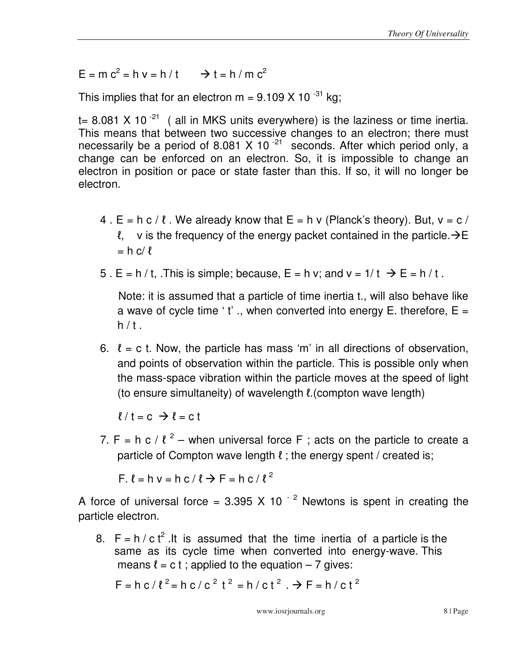$E = m c<sup>2</sup> = h v = h / t \implies t = h / m c<sup>2</sup>$ 

This implies that for an electron  $m = 9.109 X 10^{-31}$  kg;

t= 8.081 X 10 $^{-21}$  ( all in MKS units everywhere) is the laziness or time inertia. This means that between two successive changes to an electron; there must necessarily be a period of 8.081 X 10 $^{-21}$  seconds. After which period only, a change can be enforced on an electron. So, it is impossible to change an electron in position or pace or state faster than this. If so, it will no longer be electron.

- 4.  $E = h c / l$ . We already know that  $E = h v$  (Planck's theory). But,  $v = c / l$ l, v is the frequency of the energy packet contained in the particle.  $\rightarrow$  E  $= h c/l$
- 5. E = h / t, This is simple; because, E = h v; and  $v = 1/t \rightarrow E = h/t$ .

 Note: it is assumed that a particle of time inertia t., will also behave like a wave of cycle time 't'., when converted into energy E. therefore,  $E =$  $h / t$ .

6.  $\ell$  = c t. Now, the particle has mass 'm' in all directions of observation, and points of observation within the particle. This is possible only when the mass-space vibration within the particle moves at the speed of light (to ensure simultaneity) of wavelength ℓ.(compton wave length)

 $l / t = c$   $\rightarrow l = c$  t

7. F = h c /  $l^2$  – when universal force F ; acts on the particle to create a particle of Compton wave length  $\ell$ ; the energy spent / created is;

 $F. \ell = h \vee h \circ f \ell \rightarrow F = h \circ f \ell^2$ 

A force of universal force =  $3.395$  X 10<sup> $-2$ </sup> Newtons is spent in creating the particle electron.

8.  $F = h / c t^2$ . It is assumed that the time inertia of a particle is the same as its cycle time when converted into energy-wave. This means  $l = c t$ ; applied to the equation – 7 gives:

$$
F = h c / l^2 = h c / c^2 t^2 = h / c t^2
$$
.  $\rightarrow F = h / c t^2$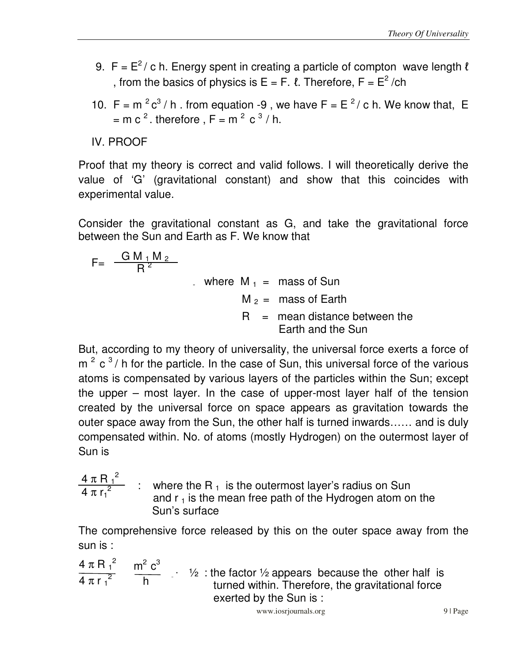- 9. F =  $E^2$  / c h. Energy spent in creating a particle of compton wave length  $\ell$ , from the basics of physics is  $E = F$ .  $\ell$ . Therefore,  $F = E^2 / ch$
- 10. F =  $\text{m}^2 \text{c}^3 / \text{h}$ . from equation -9, we have F =  $\text{E}^2 / \text{c}$  h. We know that, E = m c<sup>2</sup>. therefore, F = m<sup>2</sup> c<sup>3</sup>/h.

IV. PROOF

Proof that my theory is correct and valid follows. I will theoretically derive the value of 'G' (gravitational constant) and show that this coincides with experimental value.

Consider the gravitational constant as G, and take the gravitational force between the Sun and Earth as F. We know that

$$
F = \frac{GM_1 M_2}{R^2}
$$
  
where  $M_1$  = mass of Sun  
 $M_2$  = mass of Earth  
 $R$  = mean distance between the Earth and the Sun

But, according to my theory of universality, the universal force exerts a force of  $m^2$  c<sup>3</sup>/h for the particle. In the case of Sun, this universal force of the various atoms is compensated by various layers of the particles within the Sun; except the upper – most layer. In the case of upper-most layer half of the tension created by the universal force on space appears as gravitation towards the outer space away from the Sun, the other half is turned inwards…… and is duly compensated within. No. of atoms (mostly Hydrogen) on the outermost layer of Sun is

$$
\frac{4 \pi R_1^2}{4 \pi r_1^2}
$$
 : where the R<sub>1</sub> is the outermost layer's radius on Sun and r<sub>1</sub> is the mean free path of the Hydrogen atom on the Sun's surface

The comprehensive force released by this on the outer space away from the sun is :

 $4 \pi R^2$   $m^2 c^3$  $\frac{1}{4}$   $\frac{1}{2}$   $\frac{1}{2}$   $\frac{1}{2}$   $\frac{1}{2}$  : the factor 1/2 appears because the other half is turned within. Therefore, the gravitational force exerted by the Sun is :  $4 \pi R_1^2$  $4\pi r_1^2$  $m<sup>2</sup> c<sup>3</sup>$  $\frac{m}{h}$  .

www.iosrjournals.org 9 | Page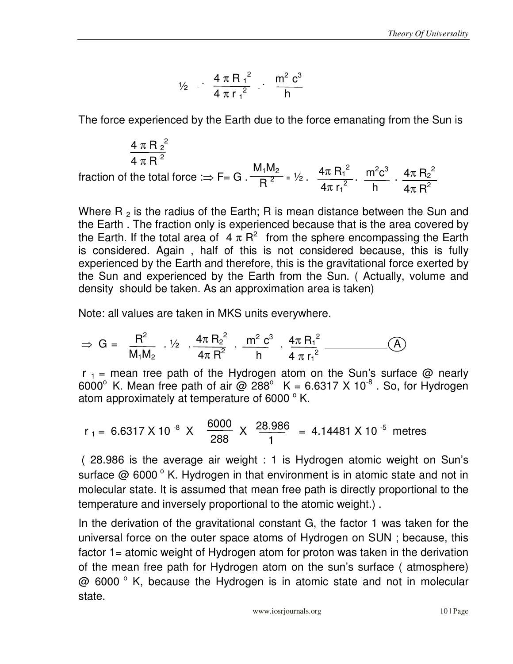$$
\frac{1}{2} \cdot \frac{4 \pi R_1^2}{4 \pi r_1^2} \cdot \frac{m^2 c^3}{h}
$$

The force experienced by the Earth due to the force emanating from the Sun is

$$
\frac{4 \pi R_2^2}{4 \pi R^2}
$$
  
fraction of the total force  $\Rightarrow$  F = G.  $\frac{M_1 M_2}{R^2} = \frac{1}{2}$ .  $\frac{4 \pi R_1^2}{4 \pi r_1^2}$ .  $\frac{m^2 c^3}{h} \cdot \frac{4 \pi R_2^2}{4 \pi R^2}$ 

Where R  $_2$  is the radius of the Earth; R is mean distance between the Sun and the Earth . The fraction only is experienced because that is the area covered by the Earth. If the total area of  $4 \pi R^2$  from the sphere encompassing the Earth is considered. Again , half of this is not considered because, this is fully experienced by the Earth and therefore, this is the gravitational force exerted by the Sun and experienced by the Earth from the Sun. ( Actually, volume and density should be taken. As an approximation area is taken)

Note: all values are taken in MKS units everywhere.

$$
\Rightarrow G = \frac{R^2}{M_1M_2} \cdot \frac{1}{2} \cdot \frac{4\pi R_2^2}{4\pi R^2} \cdot \frac{m^2 c^3}{h} \cdot \frac{4\pi R_1^2}{4 \pi r_1^2} \cdot \frac{(\text{A})}{}
$$

 $r_1$  = mean tree path of the Hydrogen atom on the Sun's surface @ nearly 6000° K. Mean free path of air @ 288° K = 6.6317 X 10<sup>-8</sup> . So, for Hydrogen atom approximately at temperature of 6000 $^{\circ}$  K.

r<sub>1</sub> = 6.6317 X 10<sup>-8</sup> X 
$$
\frac{6000}{288}
$$
 X  $\frac{28.986}{1}$  = 4.14481 X 10<sup>-5</sup> metres

 ( 28.986 is the average air weight : 1 is Hydrogen atomic weight on Sun's surface  $@$  6000 $^{\circ}$  K. Hydrogen in that environment is in atomic state and not in molecular state. It is assumed that mean free path is directly proportional to the temperature and inversely proportional to the atomic weight.) .

In the derivation of the gravitational constant G, the factor 1 was taken for the universal force on the outer space atoms of Hydrogen on SUN ; because, this factor 1= atomic weight of Hydrogen atom for proton was taken in the derivation of the mean free path for Hydrogen atom on the sun's surface ( atmosphere)  $@$  6000 $°$  K, because the Hydrogen is in atomic state and not in molecular state.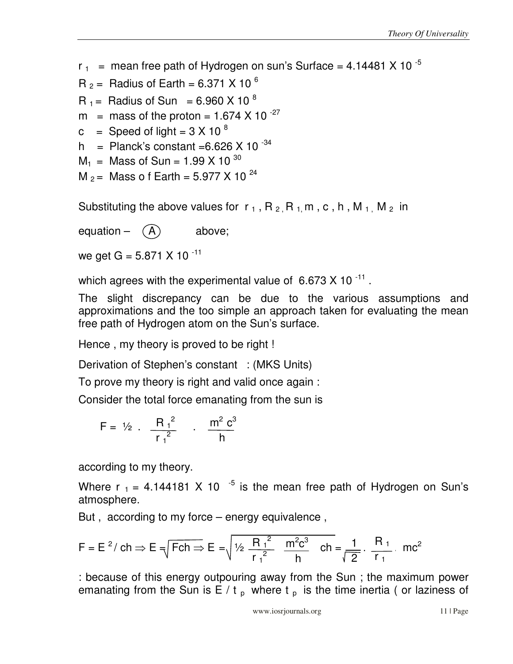- $r_{1}$  = mean free path of Hydrogen on sun's Surface = 4.14481 X 10  $^{-5}$
- $R_2$  = Radius of Earth = 6.371 X 10<sup>6</sup>
- $R_1 =$  Radius of Sun = 6.960 X 10 <sup>8</sup>
- m = mass of the proton =  $1.674$  X 10<sup>-27</sup>
- c = Speed of light =  $3 \times 10^{-8}$
- h = Planck's constant =6.626 X 10  $34$
- $M_1$  = Mass of Sun = 1.99 X 10<sup>30</sup>
- $M_2$  = Mass o f Earth = 5.977 X 10<sup>24</sup>

Substituting the above values for  $r_1$ , R<sub>2</sub>, R<sub>1</sub>, m, c, h, M<sub>1</sub>, M<sub>2</sub> in

equation  $(A)$  above;

we get  $G = 5.871 X 10^{-11}$ 

which agrees with the experimental value of  $6.673 \times 10^{-11}$  .

The slight discrepancy can be due to the various assumptions and approximations and the too simple an approach taken for evaluating the mean free path of Hydrogen atom on the Sun's surface.

Hence , my theory is proved to be right !

Derivation of Stephen's constant : (MKS Units)

To prove my theory is right and valid once again :

Consider the total force emanating from the sun is

$$
F = \frac{1}{2} \cdot \frac{R_1^2}{r_1^2} \cdot \frac{m^2 c^3}{h}
$$

according to my theory.

Where  $r_1 = 4.144181 \times 10^{-5}$  is the mean free path of Hydrogen on Sun's atmosphere.

But , according to my force – energy equivalence ,

$$
F = E2/ch \Rightarrow E = \sqrt{Fch \Rightarrow E} = \sqrt{\frac{1}{2} \frac{R_1^2}{r_1^2} \frac{m^2 c^3}{h}} \quad ch = \frac{1}{\sqrt{2}} \cdot \frac{R_1}{r_1} \quad mc^2
$$

: because of this energy outpouring away from the Sun ; the maximum power emanating from the Sun is  $E/t_p$  where t<sub>p</sub> is the time inertia (or laziness of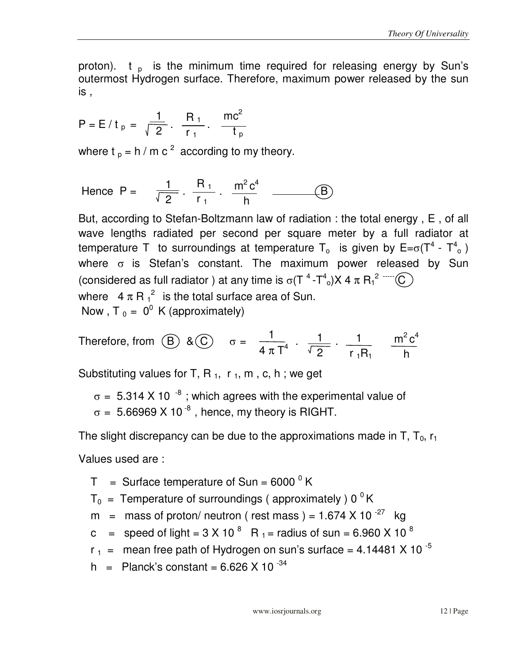proton).  $t_{p}$  is the minimum time required for releasing energy by Sun's outermost Hydrogen surface. Therefore, maximum power released by the sun is ,

$$
P = E/t_p = \frac{1}{\sqrt{2}}
$$
.  $\frac{R_1}{r_1}$ .  $\frac{mc^2}{t_p}$ 

where t  $_p = h / m c^2$  according to my theory.

Hence P = 
$$
\frac{1}{\sqrt{2}}
$$
.  $\frac{R_1}{r_1}$ .  $\frac{m^2 c^4}{h}$  — (B)

But, according to Stefan-Boltzmann law of radiation : the total energy , E , of all wave lengths radiated per second per square meter by a full radiator at temperature T to surroundings at temperature T<sub>o</sub> is given by  $\mathsf{E}=\sigma(\mathsf{T}^4$  -  $\mathsf{T}^4_{\circ}$ ) where  $\sigma$  is Stefan's constant. The maximum power released by Sun (considered as full radiator ) at any time is  $\sigma(T^4-T^4)X4 \pi R_1^2$  and  $C$ where  $4 \pi R_1^2$  is the total surface area of Sun. Now,  $T_0 = 0^0$  K (approximately)

Therefore, from (B) & (C) 
$$
\sigma = \frac{1}{4 \pi T^4} \cdot \frac{1}{\sqrt{2}} \cdot \frac{1}{r_1 R_1} \frac{m^2 c^4}{h}
$$

Substituting values for T, R<sub>1</sub>, r<sub>1</sub>, m, c, h; we get

 $\sigma = 5.314$  X 10  $^{-8}$  ; which agrees with the experimental value of  $\sigma = 5.66969 \times 10^{-8}$ , hence, my theory is RIGHT.

The slight discrepancy can be due to the approximations made in T,  $T_0$ ,  $r_1$ 

Values used are :

 $T =$  Surface temperature of Sun = 6000  $^{\circ}$  K

 $T_0$  = Temperature of surroundings (approximately ) 0 <sup>0</sup>K

m = mass of proton/ neutron ( rest mass ) =  $1.674 \times 10^{-27}$  kg

c = speed of light = 3 X 10<sup>8</sup> R<sub>1</sub> = radius of sun = 6.960 X 10<sup>8</sup>

 $r_1$  = mean free path of Hydrogen on sun's surface = 4.14481 X 10<sup>-5</sup>

h = Planck's constant =  $6.626 \times 10^{-34}$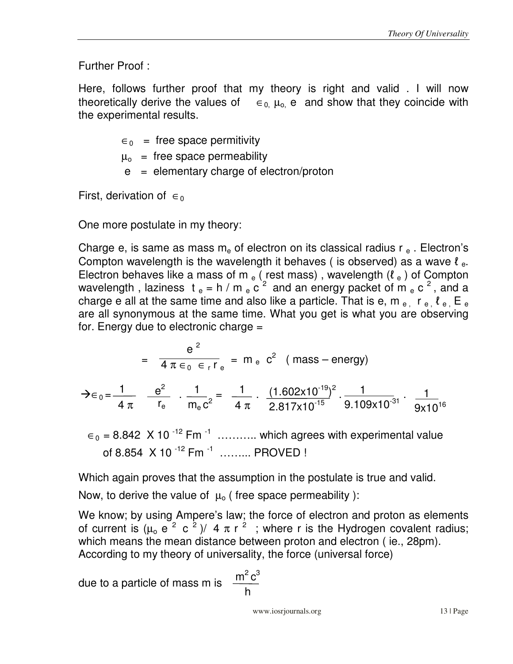Further Proof :

Here, follows further proof that my theory is right and valid . I will now theoretically derive the values of  $\epsilon_0$ ,  $\mu_0$  e and show that they coincide with the experimental results.

 $\epsilon_0$  = free space permitivity

- $\mu_{o}$  = free space permeability
- $e =$  elementary charge of electron/proton

First, derivation of  $\epsilon_0$ 

One more postulate in my theory:

Charge e, is same as mass  $m_e$  of electron on its classical radius r  $_e$ . Electron's Compton wavelength is the wavelength it behaves ( is observed) as a wave  $\ell_{e}$ . Electron behaves like a mass of m  $_e$  (rest mass), wavelength ( $\ell_e$ ) of Compton wavelength, laziness  $t_e = h/m_e c^2$  and an energy packet of  $m_e c^2$ , and a charge e all at the same time and also like a particle. That is e, m  $_{\rm e}$ , r  $_{\rm e}$ ,  $\ell_{\rm e}$ , E  $_{\rm e}$ are all synonymous at the same time. What you get is what you are observing for. Energy due to electronic charge =

$$
= \frac{e^2}{4 \pi \epsilon_0 \epsilon_r r_e} = m_e c^2 \text{ (mass-energy)}
$$

$$
\displaystyle \div \varepsilon_0 = \frac{1}{4 \ \pi} \quad \frac{e^2}{r_e} \quad \cdot \; \frac{1}{m_e c^2} = \; \frac{1}{4 \ \pi} \cdot \; \frac{(1.602 \times 10^{-19})^2}{2.817 \times 10^{-15}} \cdot \frac{1}{9.109 \times 10^{-31}} \cdot \; \frac{1}{9 \times 10^{16}}
$$

 $\epsilon_0$  = 8.842 X 10<sup>-12</sup> Fm<sup>-1</sup> ………… which agrees with experimental value of 8.854  $\,$  X 10  $^{-12}$  Fm  $^{-1}$  ......... PROVED !

Which again proves that the assumption in the postulate is true and valid.

Now, to derive the value of  $\mu_0$  (free space permeability ):

We know; by using Ampere's law; the force of electron and proton as elements of current is  $(\mu_0 e^2 c^2)/4 \pi r^2$ ; where r is the Hydrogen covalent radius; which means the mean distance between proton and electron ( ie., 28pm). According to my theory of universality, the force (universal force)

due to a particle of mass m is  $\frac{m^2 c}{n^2}$ 

$$
\frac{m^2 c^3}{h}
$$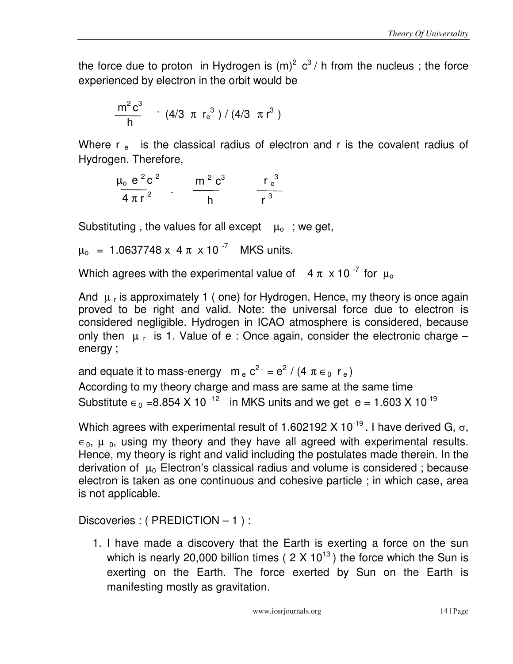the force due to proton in Hydrogen is  $(m)^2$  c<sup>3</sup>/ h from the nucleus; the force experienced by electron in the orbit would be

$$
\frac{m^2 c^3}{h} \quad (4/3 \pi r_e^3) / (4/3 \pi r^3)
$$

Where  $r_{e}$  is the classical radius of electron and r is the covalent radius of Hydrogen. Therefore,

$$
\frac{\mu_0 e^2 c^2}{4 \pi r^2} \qquad \frac{m^2 c^3}{h} \qquad \frac{r_e^3}{r^3}
$$

Substituting, the values for all except  $\mu_0$ ; we get,

 $\mu_0$  = 1.0637748 x 4  $\pi$  x 10<sup>-7</sup> MKS units.

Which agrees with the experimental value of  $4 \pi \times 10^{-7}$  for  $\mu_0$ 

And  $\mu$  <sub>r</sub> is approximately 1 ( one) for Hydrogen. Hence, my theory is once again proved to be right and valid. Note: the universal force due to electron is considered negligible. Hydrogen in ICAO atmosphere is considered, because only then  $\mu_r$  is 1. Value of e : Once again, consider the electronic charge  $$ energy ;

and equate it to mass-energy  $m_e c^2 = e^2 / (4 \pi \epsilon_0 r_e)$ According to my theory charge and mass are same at the same time Substitute  $\epsilon_0$  =8.854 X 10<sup>-12</sup> in MKS units and we get e = 1.603 X 10<sup>-19</sup>

Which agrees with experimental result of 1.602192 X 10<sup>-19</sup>. I have derived G,  $\sigma$ ,  $\epsilon_0$ ,  $\mu_0$ , using my theory and they have all agreed with experimental results. Hence, my theory is right and valid including the postulates made therein. In the derivation of  $\mu_0$  Electron's classical radius and volume is considered; because electron is taken as one continuous and cohesive particle ; in which case, area is not applicable.

Discoveries : ( PREDICTION – 1 ) :

1. I have made a discovery that the Earth is exerting a force on the sun which is nearly 20,000 billion times ( $2 \times 10^{13}$ ) the force which the Sun is exerting on the Earth. The force exerted by Sun on the Earth is manifesting mostly as gravitation.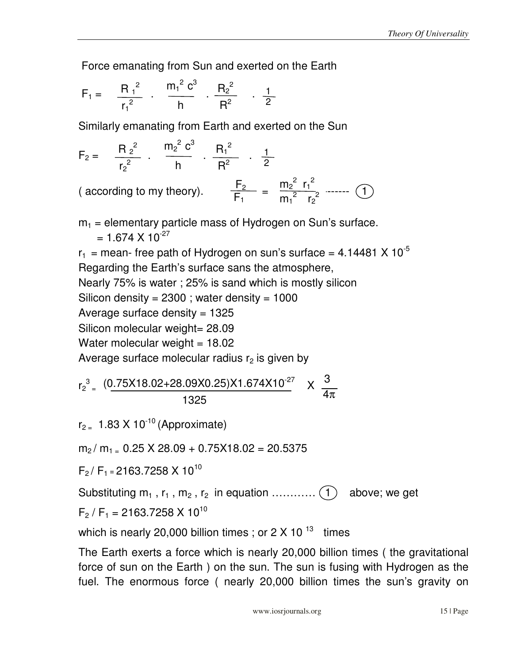Force emanating from Sun and exerted on the Earth

$$
F_1 = \frac{R_1^2}{r_1^2} \cdot \frac{m_1^2 c^3}{h} \cdot \frac{R_2^2}{R^2} \cdot \frac{1}{2}
$$

Similarly emanating from Earth and exerted on the Sun

$$
F_2 = \frac{R_2^2}{r_2^2} \cdot \frac{m_2^2 c^3}{h} \cdot \frac{R_1^2}{R^2} \cdot \frac{1}{2}
$$
  
(according to my theory).  

$$
\frac{F_2}{F_1} = \frac{m_2^2 r_1^2}{m_1^2 r_2^2}
$$
........(1)

 $m_1$  = elementary particle mass of Hydrogen on Sun's surface.  $= 1.674 \times 10^{-27}$  $r_1$  = mean- free path of Hydrogen on sun's surface = 4.14481 X 10<sup>-5</sup>

Regarding the Earth's surface sans the atmosphere,

Nearly 75% is water ; 25% is sand which is mostly silicon

Silicon density =  $2300$ ; water density =  $1000$ 

Average surface density  $= 1325$ 

Silicon molecular weight= 28.09

Water molecular weight  $= 18.02$ 

Average surface molecular radius  $r<sub>2</sub>$  is given by

$$
r_2^3 = \frac{(0.75 \times 18.02 + 28.09 \times 0.25) \times 1.674 \times 10^{-27}}{1325} \times \frac{3}{4\pi}
$$

 $r_{2}$  = 1.83 X 10<sup>-10</sup> (Approximate)

 $m_2/m_1 = 0.25 \times 28.09 + 0.75 \times 18.02 = 20.5375$ 

 $F_2 / F_1 = 2163.7258 \times 10^{10}$ 

Substituting  $m_1$ ,  $r_1$ ,  $m_2$ ,  $r_2$  in equation  $\dots\dots\dots\dots$  (1) above; we get

$$
F_2 / F_1 = 2163.7258 \times 10^{10}
$$

which is nearly 20,000 billion times ; or  $2 \times 10^{-13}$  times

The Earth exerts a force which is nearly 20,000 billion times ( the gravitational force of sun on the Earth ) on the sun. The sun is fusing with Hydrogen as the fuel. The enormous force ( nearly 20,000 billion times the sun's gravity on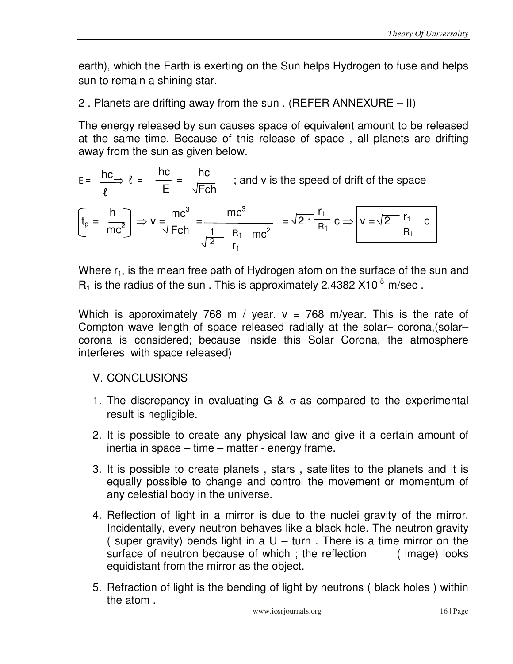earth), which the Earth is exerting on the Sun helps Hydrogen to fuse and helps sun to remain a shining star.

2 . Planets are drifting away from the sun . (REFER ANNEXURE – II)

The energy released by sun causes space of equivalent amount to be released at the same time. Because of this release of space , all planets are drifting away from the sun as given below.

$$
E = \frac{hc}{\ell} \Rightarrow \ell = \frac{hc}{E} = \frac{hc}{\sqrt{Fch}}
$$
; and v is the speed of drift of the space  

$$
\left(t_p = \frac{h}{mc^2}\right) \Rightarrow v = \frac{mc^3}{\sqrt{Fch}} = \frac{mc^3}{\frac{1}{\sqrt{2}} \cdot \frac{R_1}{R_1} \cdot mc^2} = \sqrt{2 \cdot \frac{r_1}{R_1}} c \Rightarrow v = \sqrt{2 \cdot \frac{r_1}{R_1}} c
$$

Where  $r_1$ , is the mean free path of Hydrogen atom on the surface of the sun and  $R_1$  is the radius of the sun . This is approximately 2.4382 X10<sup>-5</sup> m/sec.

Which is approximately 768 m / year.  $v = 768$  m/year. This is the rate of Compton wave length of space released radially at the solar– corona,(solar– corona is considered; because inside this Solar Corona, the atmosphere interferes with space released)

## V. CONCLUSIONS

- 1. The discrepancy in evaluating G &  $\sigma$  as compared to the experimental result is negligible.
- 2. It is possible to create any physical law and give it a certain amount of inertia in space – time – matter - energy frame.
- 3. It is possible to create planets , stars , satellites to the planets and it is equally possible to change and control the movement or momentum of any celestial body in the universe.
- 4. Reflection of light in a mirror is due to the nuclei gravity of the mirror. Incidentally, every neutron behaves like a black hole. The neutron gravity ( super gravity) bends light in a  $U -$  turn. There is a time mirror on the surface of neutron because of which; the reflection (image) looks equidistant from the mirror as the object.
- 5. Refraction of light is the bending of light by neutrons ( black holes ) within the atom .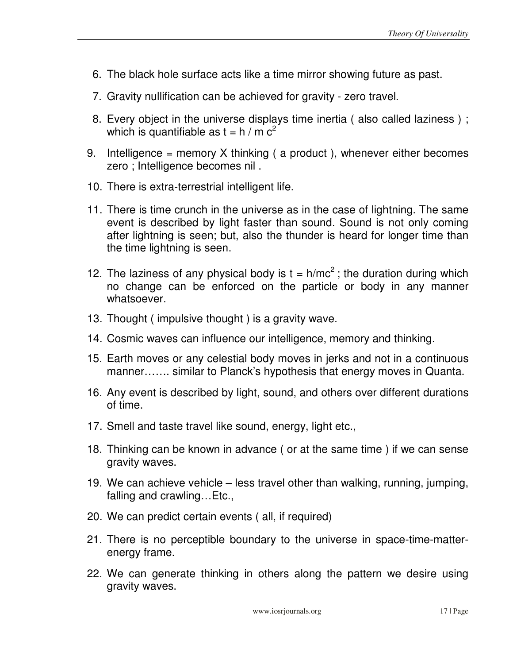- 6. The black hole surface acts like a time mirror showing future as past.
- 7. Gravity nullification can be achieved for gravity zero travel.
- 8. Every object in the universe displays time inertia ( also called laziness ) ; which is quantifiable as  $t = h / m c^2$
- 9. Intelligence = memory X thinking (a product), whenever either becomes zero ; Intelligence becomes nil .
- 10. There is extra-terrestrial intelligent life.
- 11. There is time crunch in the universe as in the case of lightning. The same event is described by light faster than sound. Sound is not only coming after lightning is seen; but, also the thunder is heard for longer time than the time lightning is seen.
- 12. The laziness of any physical body is  $t = h/mc^2$ ; the duration during which no change can be enforced on the particle or body in any manner whatsoever.
- 13. Thought ( impulsive thought ) is a gravity wave.
- 14. Cosmic waves can influence our intelligence, memory and thinking.
- 15. Earth moves or any celestial body moves in jerks and not in a continuous manner……. similar to Planck's hypothesis that energy moves in Quanta.
- 16. Any event is described by light, sound, and others over different durations of time.
- 17. Smell and taste travel like sound, energy, light etc.,
- 18. Thinking can be known in advance ( or at the same time ) if we can sense gravity waves.
- 19. We can achieve vehicle less travel other than walking, running, jumping, falling and crawling…Etc.,
- 20. We can predict certain events ( all, if required)
- 21. There is no perceptible boundary to the universe in space-time-matterenergy frame.
- 22. We can generate thinking in others along the pattern we desire using gravity waves.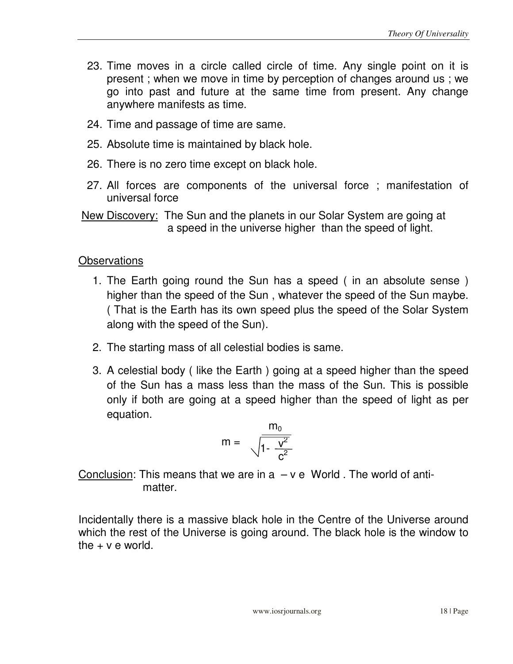- 23. Time moves in a circle called circle of time. Any single point on it is present ; when we move in time by perception of changes around us ; we go into past and future at the same time from present. Any change anywhere manifests as time.
- 24. Time and passage of time are same.
- 25. Absolute time is maintained by black hole.
- 26. There is no zero time except on black hole.
- 27. All forces are components of the universal force ; manifestation of universal force
- New Discovery: The Sun and the planets in our Solar System are going at a speed in the universe higher than the speed of light.

#### **Observations**

- 1. The Earth going round the Sun has a speed ( in an absolute sense ) higher than the speed of the Sun , whatever the speed of the Sun maybe. ( That is the Earth has its own speed plus the speed of the Solar System along with the speed of the Sun).
- 2. The starting mass of all celestial bodies is same.
- 3. A celestial body ( like the Earth ) going at a speed higher than the speed of the Sun has a mass less than the mass of the Sun. This is possible only if both are going at a speed higher than the speed of light as per equation.

$$
m = \frac{m_0}{\sqrt{1 - \frac{v^2}{c^2}}}
$$

Conclusion: This means that we are in  $a - v e$  World. The world of antimatter.

Incidentally there is a massive black hole in the Centre of the Universe around which the rest of the Universe is going around. The black hole is the window to the  $+ v e$  world.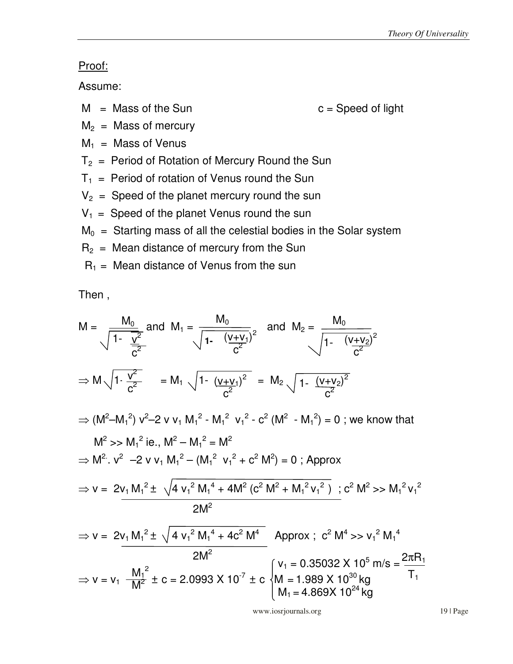#### Proof:

Assume:

 $M =$ Mass of the Sun c = Speed of light

 $M_2$  = Mass of mercury

 $M_1$  = Mass of Venus

- $T_2$  = Period of Rotation of Mercury Round the Sun
- $T_1$  = Period of rotation of Venus round the Sun
- $V_2$  = Speed of the planet mercury round the sun
- $V_1$  = Speed of the planet Venus round the sun
- $M_0$  = Starting mass of all the celestial bodies in the Solar system
- $R_2$  = Mean distance of mercury from the Sun
- $R_1$  = Mean distance of Venus from the sun

Then ,

$$
M = \sqrt{\frac{M_0}{1 - \frac{v^2}{c^2}}} \text{ and } M_1 = \sqrt{\frac{M_0}{1 - \frac{(v + v_1)}{c^2}}}
$$
 and  $M_2 = \sqrt{\frac{M_0}{1 - \frac{(v + v_2)}{c^2}}}$   
\n
$$
\Rightarrow M \sqrt{1 \cdot \frac{v^2}{c^2}} = M_1 \sqrt{1 - \frac{(v + v_1)^2}{c^2}} = M_2 \sqrt{1 - \frac{(v + v_2)^2}{c^2}}
$$
  
\n
$$
\Rightarrow (M^2 - M_1^2) v^2 - 2 v v_1 M_1^2 - M_1^2 v_1^2 - c^2 (M^2 - M_1^2) = 0 \text{ ; we know that}
$$
  
\n
$$
M^2 >> M_1^2
$$
 ie.,  $M^2 - M_1^2 = M^2$   
\n
$$
\Rightarrow M^2. v^2 - 2 v v_1 M_1^2 - (M_1^2 v_1^2 + c^2 M^2) = 0 \text{ ; Approx}
$$
  
\n
$$
\Rightarrow v = 2v_1 M_1^2 \pm \sqrt{4 v_1^2 M_1^4 + 4M^2 (c^2 M^2 + M_1^2 v_1^2)} \text{ ; } c^2 M^2 >> M_1^2 v_1^2
$$
  
\n
$$
2M^2
$$
  
\n
$$
\Rightarrow v = 2v_1 M_1^2 \pm \sqrt{4 v_1^2 M_1^4 + 4c^2 M_1^4}
$$
 Approx;  $c^2 M^4 >> v_1^2 M_1^4$   
\n
$$
2M^2
$$
  
\n
$$
\Rightarrow v = v_1 \frac{M_1^2}{M^2} \pm c = 2.0993 \times 10^{-7} \pm c \begin{cases} v_1 = 0.35032 \times 10^5 \text{ m/s} = \frac{2\pi R_1}{T_1} \\ M_1 = 4.869 \times 10^{30} \text{ kg} \\ M_1 = 4.869 \times 10^{24} \text{ kg} \end{cases}
$$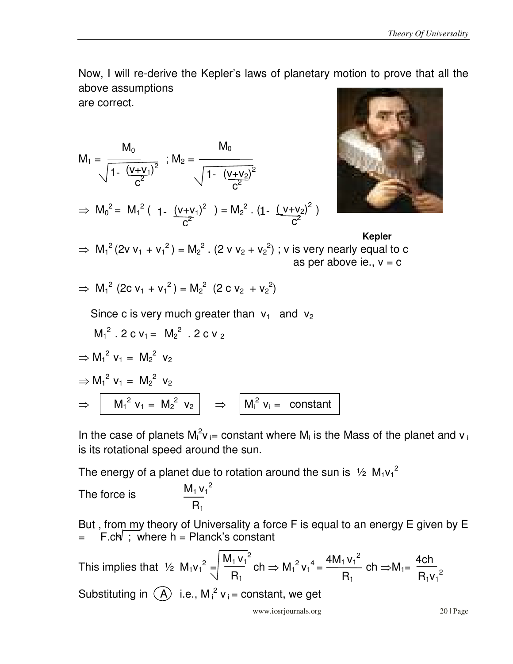Now, I will re-derive the Kepler's laws of planetary motion to prove that all the above assumptions

are correct.

$$
M_1 = \frac{M_0}{\sqrt{1 - \frac{(v + v_1)^2}{c^2}}} \; ; \; M_2 = \frac{M_0}{\sqrt{1 - \frac{(v + v_2)^2}{c^2}}}
$$

$$
\Rightarrow \ M_0^2 = \ M_1^2 \left( 1 - \frac{(v+v_1)^2}{c^2} \right) = M_2^2 \cdot (1 - \frac{(v+v_2)^2}{c^2})
$$



# **Kepler**

$$
\Rightarrow M_1^2 (2v v_1 + v_1^2) = M_2^2
$$
. (2 v v<sub>2</sub> + v<sub>2</sub><sup>2</sup>) ; v is very nearly equal to c  
as per above ie., v = c

$$
\Rightarrow M_1^2 (2c v_1 + v_1^2) = M_2^2 (2 c v_2 + v_2^2)
$$

Since c is very much greater than  $v_1$  and  $v_2$ 

$$
M_1^2 . 2 c v_1 = M_2^2 . 2 c v_2
$$
  
\n
$$
\Rightarrow M_1^2 v_1 = M_2^2 v_2
$$
  
\n
$$
\Rightarrow M_1^2 v_1 = M_2^2 v_2
$$
  
\n
$$
\Rightarrow \boxed{M_1^2 v_1 = M_2^2 v_2} \Rightarrow \boxed{M_i^2 v_i = \text{constant}}
$$

In the case of planets  $M_i^2 v_{i}=$  constant where  $M_i$  is the Mass of the planet and  $v_i$ is its rotational speed around the sun.

The energy of a planet due to rotation around the sun is  $\frac{1}{2}$  M<sub>1</sub>v<sub>1</sub><sup>2</sup>

The force is 
$$
\frac{M_1 v_1^2}{R_1}
$$

But , from my theory of Universality a force F is equal to an energy E given by E  $F.ch$ ; where  $h = Planck's constant$ 

 $M_1 v_1^2$  $R_1$  $4M_1v_1^2$  $R_1$ This implies that  $\frac{1}{2}$  M<sub>1</sub>v<sub>1</sub><sup>2</sup> =  $\frac{|M_1 \vee 1}{R_1}$  ch  $\Rightarrow M_1^2 V_1^4 = \frac{4|M_1 \vee 1}{R_1}$  ch  $\Rightarrow M_1 =$ Substituting in  $(A)$  i.e., M<sub>i</sub><sup>2</sup>  $v_i$  = constant, we get 4ch  $R_1v_1^2$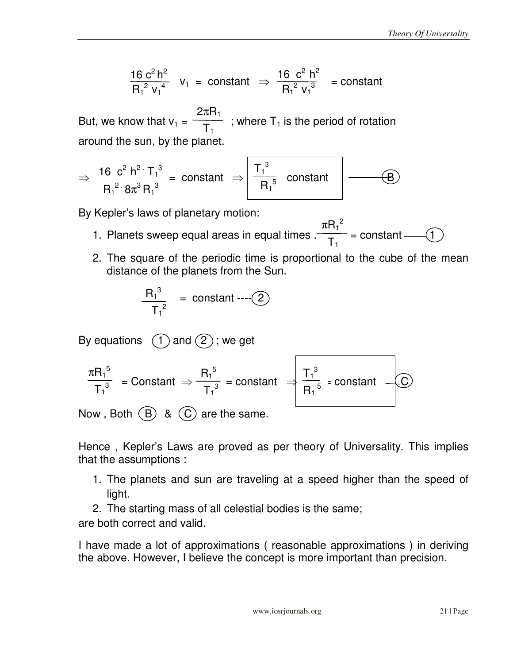$$
\frac{16 \ c^2 \ h^2}{R_1^2 \ v_1^4} \ v_1 = \text{constant} \ \Rightarrow \ \frac{16 \ c^2 \ h^2}{R_1^2 \ v_1^3} = \text{constant}
$$

But, we know that  $v_1 = \frac{v_1}{T}$ ; where  $T_1$  is the period of rotation around the sun, by the planet. 2π $\mathsf{R}_1$  $T_1$ 

$$
\Rightarrow \frac{16 \text{ c}^2 \text{ h}^2 \cdot \text{T}_1{}^3}{\text{R}_1{}^2 \cdot 8\pi^3 \text{ R}_1{}^3} = \text{constant} \Rightarrow \boxed{\frac{\text{T}_1{}^3}{\text{R}_1{}^5} \text{ constant}}
$$

By Kepler's laws of planetary motion:

- $\pi R_1{}^2$  $T_1$ 1. Planets sweep equal areas in equal times  $\frac{1}{1}$  = constant --- (1
- 2. The square of the periodic time is proportional to the cube of the mean distance of the planets from the Sun.

$$
\frac{R_1^3}{T_1^2} = \text{constant} \cdots (2)
$$

By equations  $(1)$  and  $(2)$ ; we get

$$
\frac{\pi R_1^5}{T_1^3} = \text{Constant} \Rightarrow \frac{R_1^5}{T_1^3} = \text{constant} \Rightarrow \frac{T_1^3}{R_1^5} = \text{constant}
$$

Now, Both  $(B)$  &  $(C)$  are the same.

Hence , Kepler's Laws are proved as per theory of Universality. This implies that the assumptions :

- 1. The planets and sun are traveling at a speed higher than the speed of light.
- 2. The starting mass of all celestial bodies is the same; are both correct and valid.

I have made a lot of approximations ( reasonable approximations ) in deriving the above. However, I believe the concept is more important than precision.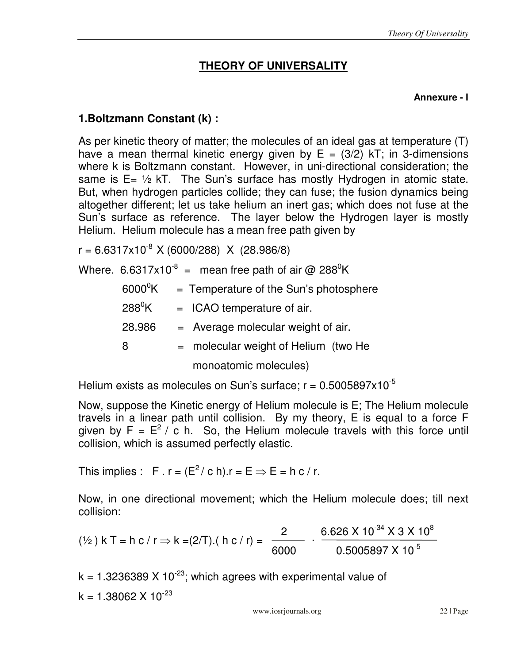# **THEORY OF UNIVERSALITY**

#### **Annexure - I**

#### **1.Boltzmann Constant (k) :**

As per kinetic theory of matter; the molecules of an ideal gas at temperature (T) have a mean thermal kinetic energy given by  $E = (3/2)$  kT; in 3-dimensions where k is Boltzmann constant. However, in uni-directional consideration; the same is  $E = \frac{1}{2}$  kT. The Sun's surface has mostly Hydrogen in atomic state. But, when hydrogen particles collide; they can fuse; the fusion dynamics being altogether different; let us take helium an inert gas; which does not fuse at the Sun's surface as reference. The layer below the Hydrogen layer is mostly Helium. Helium molecule has a mean free path given by

 $r = 6.6317 \times 10^{-8}$  X (6000/288) X (28.986/8)

Where. 6.6317x10<sup>-8</sup> = mean free path of air @ 288<sup>0</sup>K

 $6000^{\circ}$ K = Temperature of the Sun's photosphere  $288^{\circ}$ K = ICAO temperature of air.  $28.986 =$  Average molecular weight of air. 8 = molecular weight of Helium (two He monoatomic molecules)

Helium exists as molecules on Sun's surface;  $r = 0.5005897 \times 10^{-5}$ 

Now, suppose the Kinetic energy of Helium molecule is E; The Helium molecule travels in a linear path until collision. By my theory, E is equal to a force F given by  $F = E^2 / c$  h. So, the Helium molecule travels with this force until collision, which is assumed perfectly elastic.

This implies : F . r =  $(E^2 / c h)$ .r = E  $\Rightarrow$  E = h c / r.

Now, in one directional movement; which the Helium molecule does; till next collision:

$$
(\frac{1}{2}) k T = h c / r \Rightarrow k = (2/T). ( h c / r) = \frac{2}{6000} \cdot \frac{6.626 \times 10^{-34} \times 3 \times 10^8}{0.5005897 \times 10^{-5}}
$$

 $k = 1.3236389 \times 10^{-23}$ ; which agrees with experimental value of  $k = 1.38062 \times 10^{-23}$ 

www.iosrjournals.org 22 | Page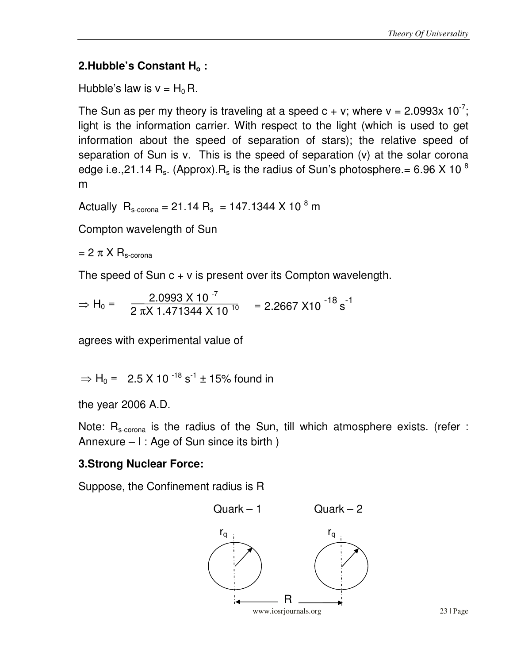## **2.Hubble's Constant Ho :**

Hubble's law is  $v = H_0 R$ .

The Sun as per my theory is traveling at a speed  $c + v$ ; where  $v = 2.0993x 10^{-7}$ ; light is the information carrier. With respect to the light (which is used to get information about the speed of separation of stars); the relative speed of separation of Sun is v. This is the speed of separation (v) at the solar corona edge i.e., 21.14 R<sub>s</sub>. (Approx). R<sub>s</sub> is the radius of Sun's photosphere. = 6.96 X 10<sup>8</sup> m

Actually  $R_{\text{s-corona}} = 21.14 R_{\text{s}} = 147.1344 \times 10^{8} \text{ m}$ 

Compton wavelength of Sun

 $= 2 \pi X R_{s\text{-corona}}$ 

The speed of Sun  $c + v$  is present over its Compton wavelength.

 $\rightarrow$  µ  $-$  2.0993 X 10<sup>-7</sup>  $\Rightarrow$  H<sub>0</sub> =  $\frac{2.0993 \times 10^{34} \times 10^{10}}{2 \pi X 1.471344 \times 10^{10}}$  = 2.2667 X10<sup>-18</sup> s<sup>-1</sup>

agrees with experimental value of

 $\Rightarrow$  H<sub>0</sub> = 2.5 X 10<sup>-18</sup> s<sup>-1</sup> ± 15% found in

the year 2006 A.D.

Note:  $R_{s\text{-corona}}$  is the radius of the Sun, till which atmosphere exists. (refer : Annexure – I : Age of Sun since its birth )

# **3.Strong Nuclear Force:**

Suppose, the Confinement radius is R

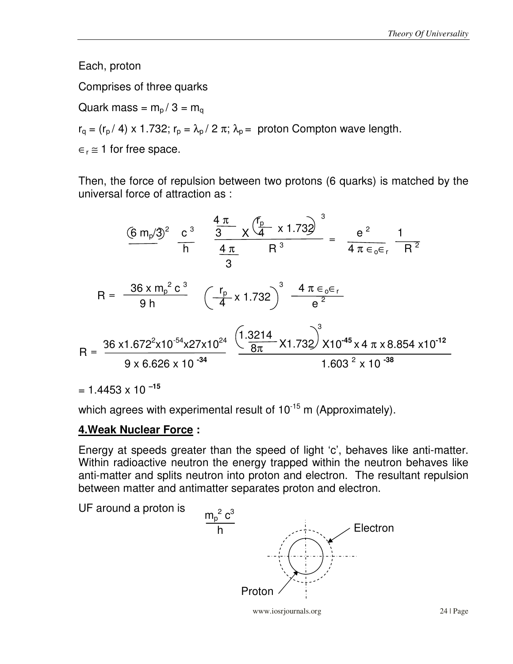Each, proton

Comprises of three quarks

Quark mass =  $m_p / 3 = m_q$ 

 $r_q = (r_p / 4) \times 1.732$ ;  $r_p = \lambda_p / 2 \pi$ ;  $\lambda_p =$  proton Compton wave length.

 $\epsilon_r \approx 1$  for free space.

Then, the force of repulsion between two protons (6 quarks) is matched by the universal force of attraction as :

$$
\frac{(6 \text{ m}_{p}/3)^{2}}{\text{h}} \frac{c^{3}}{\text{h}} = \frac{\frac{4 \pi}{3} \times (\frac{f_{p}}{4} \times 1.732)^{3}}{\frac{4 \pi}{3}} = \frac{e^{2}}{4 \pi \epsilon_{o} \epsilon_{r}} \frac{1}{R^{2}}
$$
  
\n
$$
R = \frac{36 \times m_{p}^{2} c^{3}}{9 h} \left(\frac{r_{p}}{4} \times 1.732\right)^{3} \frac{4 \pi \epsilon_{o} \epsilon_{r}}{e^{2}}
$$
  
\n
$$
R = \frac{36 \times 1.672^{2} \times 10^{-54} \times 27 \times 10^{24}}{9 \times 6.626 \times 10^{-34}} \frac{\left(1.3214 \times 1.732\right)^{3} \times 10^{-45} \times 4 \pi \times 8.854 \times 10^{-12}}{1.603^{2} \times 10^{-38}}
$$

 $= 1.4453 \times 10^{-15}$ 

which agrees with experimental result of  $10^{-15}$  m (Approximately).

#### **4.Weak Nuclear Force :**

Energy at speeds greater than the speed of light 'c', behaves like anti-matter. Within radioactive neutron the energy trapped within the neutron behaves like anti-matter and splits neutron into proton and electron. The resultant repulsion between matter and antimatter separates proton and electron.



www.iosrjournals.org 24 | Page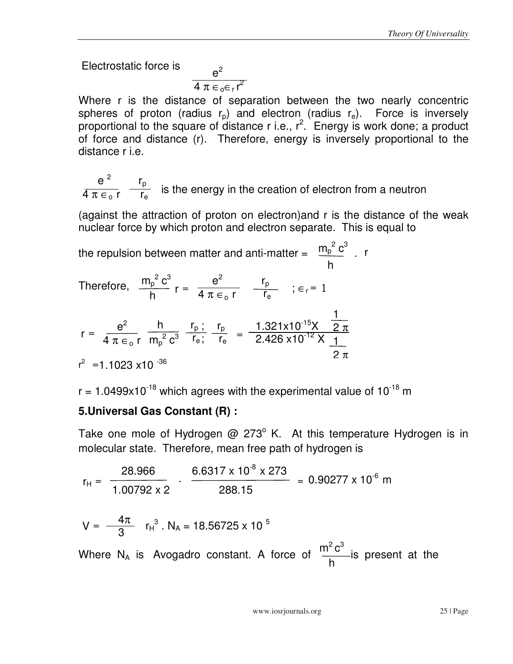Electrostatic force is

$$
\frac{e^2}{4 \pi \epsilon_0 \epsilon_r r^2}
$$

Where r is the distance of separation between the two nearly concentric spheres of proton (radius  $r_p$ ) and electron (radius  $r_e$ ). Force is inversely proportional to the square of distance r i.e.,  $r^2$ . Energy is work done; a product of force and distance (r). Therefore, energy is inversely proportional to the distance r i.e.

 $e^2$  r<sub>p</sub>  $\frac{1}{4 \pi \epsilon_0 r}$   $\frac{P}{r_e}$  is the energy in the creation of electron from a neutron

(against the attraction of proton on electron)and r is the distance of the weak nuclear force by which proton and electron separate. This is equal to

 $m_p^2 c^3$  h  $m_{\sf p}^{\;\;2}\,{\sf c}^3$  h  $e^2$  $4 \pi \in$   $_{\circ}$  r  $r_{\rm p}$  $\overline{\mathsf{r}_{\textsf{e}}}$  $e^2$  $4\pi\in$   $_{{\rm o}}$  r  $r_{\rm p}$  $\overline{r_{e}}$  $r_{\rm p}$  $r_{\rm e}$  h  $m_p^2 c^3$  $1.321x10^{-15}X$  $2.426 \times 10^{-12}$  X the repulsion between matter and anti-matter  $=$   $\frac{m_{\rm p}}{2}$  . Therefore,  $e^2$  h  $r_p$ ;  $r = \frac{e}{4 \pi \epsilon_0 r} \frac{r}{m_0^2 c^3} \frac{r}{r_e} \frac{r}{r_e} =$  $r^2$  = 1.1023 x10  $^{-36}$  $r = \frac{e}{4 \pi \epsilon r}$   $\frac{I_p}{r}$  ;  $\epsilon_r = 1$ r 1 2 π  $\overline{1}$ <u>2π</u>

 $r = 1.0499 \times 10^{-18}$  which agrees with the experimental value of  $10^{-18}$  m

## **5.Universal Gas Constant (R) :**

Take one mole of Hydrogen  $@$  273 $^{\circ}$  K. At this temperature Hydrogen is in molecular state. Therefore, mean free path of hydrogen is

$$
r_{H} = \frac{28.966}{1.00792 \times 2} \cdot \frac{6.6317 \times 10^{-8} \times 273}{288.15} = 0.90277 \times 10^{-6} \text{ m}
$$
  

$$
V = \frac{4\pi}{3} r_{H}^{3} \cdot N_{A} = 18.56725 \times 10^{-5}
$$
  
Where N<sub>A</sub> is Avogadro constant. A force of  $\frac{m^{2}c^{3}}{h}$  is present at the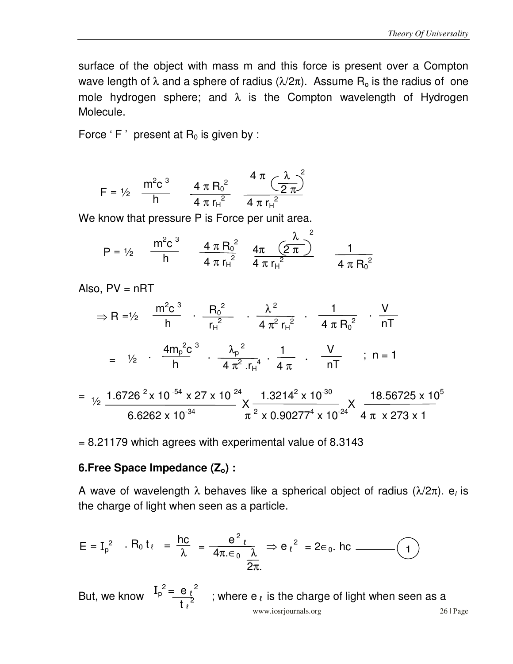surface of the object with mass m and this force is present over a Compton wave length of  $\lambda$  and a sphere of radius ( $\lambda/2\pi$ ). Assume R<sub>o</sub> is the radius of one mole hydrogen sphere; and  $\lambda$  is the Compton wavelength of Hydrogen Molecule.

Force 'F' present at  $R_0$  is given by :

$$
F = \frac{1}{2} \frac{m^2 c^3}{h} \frac{4 \pi R_0^2}{4 \pi r_H^2} \frac{4 \pi (\frac{\lambda}{2 \pi})^2}{4 \pi r_H^2}
$$

We know that pressure P is Force per unit area.

$$
P = \frac{1}{2} \frac{m^2 c^3}{h} \frac{4 \pi R_0^2}{4 \pi r_H^2} \frac{4 \pi (\frac{\lambda}{2 \pi})^2}{4 \pi r_H^2} \frac{1}{4 \pi R_0^2}
$$

Also,  $PV = nRT$ 

$$
\Rightarrow R = \frac{1}{2} \quad \frac{m^2 c^3}{h} \quad \frac{R_0^2}{r_H^2} \quad \frac{\lambda^2}{4 \pi^2 r_H^2} \quad \frac{1}{4 \pi R_0^2} \quad \frac{V}{nT}
$$
\n
$$
= \frac{1}{2} \quad \frac{4m_p^2 c^3}{h} \quad \frac{\lambda_p^2}{4 \pi^2 r_H^4} \quad \frac{1}{4 \pi} \quad \frac{V}{nT} \quad \frac{1}{nT} \quad \frac{V}{nT}
$$
\n
$$
= \frac{1}{2} \quad \frac{1.6726^2 \times 10^{-54} \times 27 \times 10^{-24}}{4 \pi^2 r_H^4} \quad \frac{1.3214^2 \times 10^{-30}}{10^{-30}} \quad \frac{18.56725}{18.56725}
$$

$$
= \frac{1}{2} \frac{1.6726^2 \times 10^{-54} \times 27 \times 10^{-24}}{6.6262 \times 10^{-34}} \times \frac{1.3214^2 \times 10^{-30}}{\pi^2 \times 0.90277^4 \times 10^{-24}} \times \frac{18.56725 \times 10^5}{4 \pi \times 273 \times 1}
$$

= 8.21179 which agrees with experimental value of 8.3143

#### **6.Free Space Impedance (Zo) :**

A wave of wavelength  $\lambda$  behaves like a spherical object of radius ( $\lambda$ /2π). e<sub>l</sub> is the charge of light when seen as a particle.

$$
E = I_p^2 \quad \text{. } R_0 \, t_\ell \;\; = \; \frac{hc}{\lambda} \;\; = \; \frac{e^2 \, \ell}{4 \pi \, \varepsilon_0 \, \frac{\lambda}{2 \pi}} \; \Rightarrow e \, \ell^2 \;\; = \; 2 \varepsilon_0 \, \text{. } hc \; \underline{\hspace{1.2cm}} \tag{1}
$$

www.iosrjournals.org 26 | Page But, we know  $I_p^2 = e_l^2$ ; where  $e_l$  is the charge of light when seen as a  $\frac{1}{2}$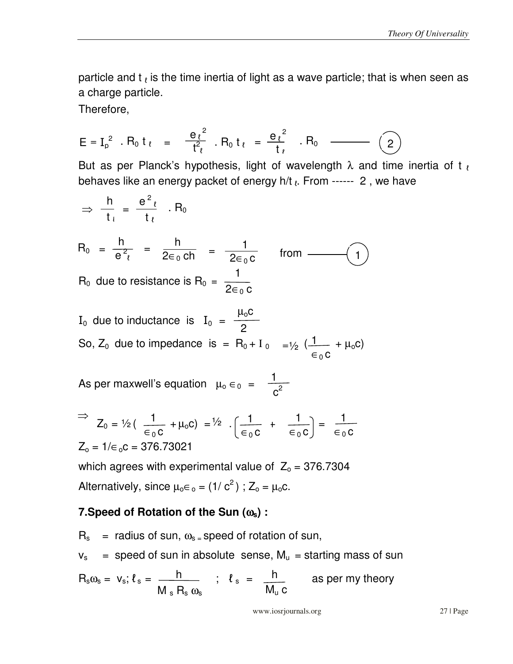particle and t  $_{\ell}$  is the time inertia of light as a wave particle; that is when seen as a charge particle.

Therefore,

$$
E = I_p^2 \cdot R_0 \, t_{\ell} = \frac{e_{\ell}^2}{t_{\ell}^2} \cdot R_0 \, t_{\ell} = \frac{e_{\ell}^2}{t_{\ell}} \cdot R_0 \quad \text{(2)}
$$

But as per Planck's hypothesis, light of wavelength  $\lambda$  and time inertia of t<sub>l</sub> behaves like an energy packet of energy h/t  $\ell$ . From ------ 2, we have

$$
\Rightarrow \frac{h}{t_+} = \frac{e^2 \ell}{t_\ell} \quad R_0
$$
  
\n
$$
R_0 = \frac{h}{e^2 \ell} = \frac{h}{2\epsilon_0 c h} = \frac{1}{2\epsilon_0 c} \quad \text{from } \underline{\hspace{1cm}}(1)
$$
  
\n
$$
R_0 \text{ due to resistance is } R_0 = \frac{1}{2\epsilon_0 c}
$$

I<sub>0</sub> due to inductance is I<sub>0</sub> = 
$$
\frac{\mu_0 C}{2}
$$
  
So, Z<sub>0</sub> due to impedance is = R<sub>0</sub> + I<sub>0</sub> = $\frac{1}{2}$  ( $\frac{1}{\epsilon_0 C}$  +  $\mu_0 C$ )

 $\overline{1}$ As per maxwell's equation  $\mu_0 \in_0 = \frac{1}{c^2}$ 

$$
\Rightarrow Z_0 = \frac{1}{2} \left( \frac{1}{\epsilon_0 c} + \mu_0 c \right) = \frac{1}{2} \cdot \left( \frac{1}{\epsilon_0 c} + \frac{1}{\epsilon_0 c} \right) = \frac{1}{\epsilon_0 c}
$$
  

$$
Z_0 = 1/\epsilon_0 c = 376.73021
$$

which agrees with experimental value of  $Z_0 = 376.7304$ Alternatively, since  $\mu_0 \in C_0 = (1/c^2)$ ;  $Z_0 = \mu_0 c$ .

## **7.Speed of Rotation of the Sun (**ω**s) :**

 $R_s$  = radius of sun,  $\omega_s$  = speed of rotation of sun,  $v_s$  = speed of sun in absolute sense,  $M_u$  = starting mass of sun  $R_s\omega_s = v_s; \ell_s = \frac{h}{\sqrt{2\pi}}$  ;  $\ell_s = \frac{h}{\sqrt{2\pi}}$  as per my theory  $M_s R_s \omega_s$  h  $M_u$  c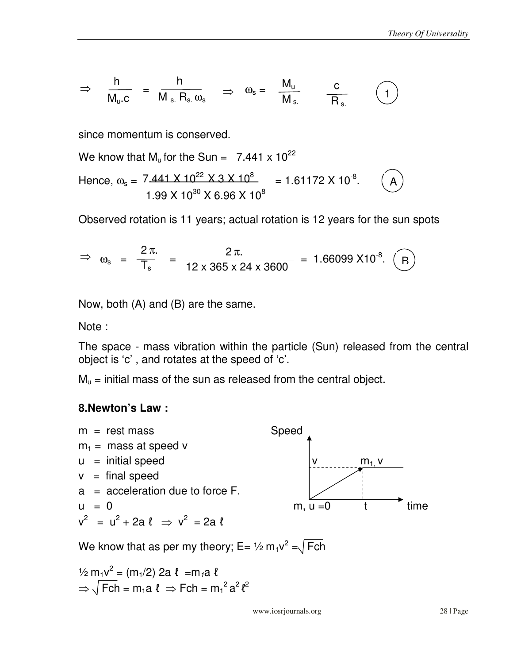$$
\Rightarrow \quad \frac{h}{M_u.c} \;\; = \;\; \frac{h}{M_s. \; R_s. \; \omega_s} \quad \Rightarrow \quad \omega_s = \;\; \frac{M_u}{M_s} \qquad \frac{c}{R_s} \qquad \quad \textcircled{\scriptsize{1}} \, \, \textcircled{\scriptsize{1}} \, \, \textcircled{\scriptsize{1}} \, \, \textcircled{\scriptsize{1}} \, \, \textcircled{\scriptsize{1}} \, \, \textcircled{\scriptsize{1}} \, \, \textcircled{\scriptsize{1}} \, \, \textcircled{\scriptsize{1}} \, \, \textcircled{\scriptsize{1}} \, \, \textcircled{\scriptsize{1}} \, \, \textcircled{\scriptsize{1}} \, \, \textcircled{\scriptsize{1}} \, \, \textcircled{\scriptsize{1}} \, \, \textcircled{\scriptsize{1}} \, \, \textcircled{\scriptsize{1}} \, \, \textcircled{\scriptsize{1}} \, \, \textcircled{\scriptsize{1}} \, \, \textcircled{\scriptsize{1}} \, \, \textcircled{\scriptsize{1}} \, \, \textcircled{\scriptsize{1}} \, \, \textcircled{\scriptsize{1}} \, \, \textcircled{\scriptsize{1}} \, \, \textcircled{\scriptsize{1}} \, \, \textcircled{\scriptsize{1}} \, \, \textcircled{\scriptsize{1}} \, \, \textcircled{\scriptsize{1}} \, \, \textcircled{\scriptsize{1}} \, \, \textcircled{\scriptsize{1}} \, \, \textcircled{\scriptsize{1}} \, \, \textcircled{\scriptsize{1}} \, \, \textcircled{\scriptsize{1}} \, \, \textcircled{\scriptsize{1}} \, \, \textcircled{\scriptsize{1}} \, \, \textcircled{\scriptsize{1}} \, \, \textcircled{\scriptsize{1}} \, \, \textcircled{\scriptsize{1}} \, \, \textcircled{\scriptsize{1}} \, \, \textcircled{\scriptsize{1}} \, \, \textcircled{\scriptsize{1}} \, \, \textcircled{\scriptsize{1}} \, \, \textcircled{\scriptsize{1}} \, \, \textcircled{\scriptsize{1}} \, \, \textcircled{\scriptsize{1}} \, \, \textcircled{\scriptsize{1}} \, \, \textcircled{\scriptsize{1}} \, \, \textcircled{\scriptsize{1}} \, \, \textcircled{\scriptsize{1}} \, \, \textcircled{\scriptsize{1}} \, \, \textcircled{\scriptsize{1}} \
$$

since momentum is conserved.

A We know that  $M_u$  for the Sun = 7.441 x 10<sup>22</sup> Hence,  $\omega_s = 7.441 \times 10^{22} \times 3 \times 10^8 = 1.61172 \times 10^{-8}$ .  $1.99 \times 10^{30} \times 6.96 \times 10^{8}$ 

Observed rotation is 11 years; actual rotation is 12 years for the sun spots

$$
\Rightarrow \omega_s = \frac{2\pi}{T_s} = \frac{2\pi}{12 \times 365 \times 24 \times 3600} = 1.66099 X10^{-8}. \quad \textcircled{B}
$$

Now, both (A) and (B) are the same.

Note :

The space - mass vibration within the particle (Sun) released from the central object is 'c' , and rotates at the speed of 'c'.

 $M_{u}$  = initial mass of the sun as released from the central object.

#### **8.Newton's Law :**



We know that as per my theory; E= ½ m<sub>1</sub>v<sup>2</sup> = $\sqrt{Fch}$ 

 $\frac{1}{2}$  m<sub>1</sub> $v^2 = (m_1/2)$  2a  $\ell = m_1a$   $\ell$  $\Rightarrow \sqrt{Fch} = m_1 a \ell \Rightarrow Fch = m_1^2 a^2 \ell^2$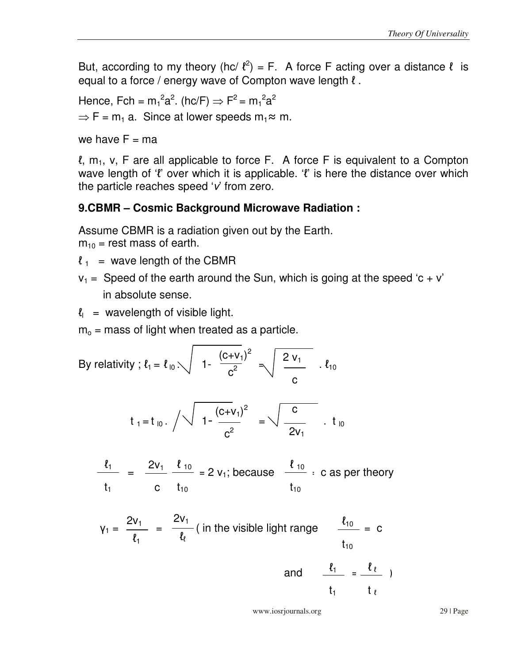But, according to my theory (hc/ $\ell^2$ ) = F. A force F acting over a distance  $\ell$  is equal to a force / energy wave of Compton wave length  $l$ .

Hence, Fch =  $m_1^2 a^2$ . (hc/F)  $\Rightarrow$  F<sup>2</sup> =  $m_1^2 a^2$  $\Rightarrow$  F = m<sub>1</sub> a. Since at lower speeds m<sub>1</sub> $\approx$  m.

we have  $F = ma$ 

l,  $m_1$ , v, F are all applicable to force F. A force F is equivalent to a Compton wave length of ' $\ell$ ' over which it is applicable. ' $\ell$ ' is here the distance over which the particle reaches speed  $V$  from zero.

## **9.CBMR – Cosmic Background Microwave Radiation :**

Assume CBMR is a radiation given out by the Earth.

 $m_{10}$  = rest mass of earth.

- $l_1$  = wave length of the CBMR
- $v_1$  = Speed of the earth around the Sun, which is going at the speed 'c + v' in absolute sense.
- $\ell_{\parallel}$  = wavelength of visible light.

 $m<sub>o</sub>$  = mass of light when treated as a particle.

By relativity ; 
$$
l_1 = l_{10} \times \sqrt{1 - \frac{(c+v_1)^2}{c^2}} = \sqrt{\frac{2v_1}{c}}
$$
.  $l_{10}$ 

$$
t_1 = t_{10}
$$
.  $\sqrt{1 - \frac{(c+v_1)^2}{c^2}} = \sqrt{\frac{c}{2v_1}}$ .  $t_{10}$ 

$$
\frac{\ell_1}{t_1} = \frac{2v_1}{c} \frac{\ell_{10}}{t_{10}} = 2 v_1; \text{ because } \frac{\ell_{10}}{t_{10}} : c \text{ as per theory}
$$

$$
Y_1 = \frac{2v_1}{\ell_1} = \frac{2v_1}{\ell_\ell} \text{ (in the visible light range } \frac{\ell_{10}}{t_{10}} = c
$$

and 
$$
\frac{\ell_1}{t_1} = \frac{\ell_\ell}{t_\ell}
$$

www.iosrjournals.org 29 | Page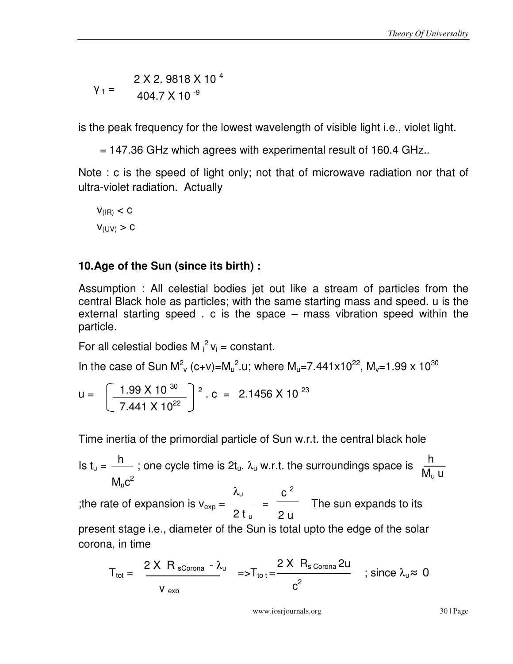$$
Y_1 = \frac{2 \times 2.9818 \times 10^{4}}{404.7 \times 10^{-9}}
$$

is the peak frequency for the lowest wavelength of visible light i.e., violet light.

= 147.36 GHz which agrees with experimental result of 160.4 GHz..

Note : c is the speed of light only; not that of microwave radiation nor that of ultra-violet radiation. Actually

$$
V_{\text{(IR)}} < C
$$
\n
$$
V_{\text{(UV)}} > C
$$

# **10.Age of the Sun (since its birth) :**

Assumption : All celestial bodies jet out like a stream of particles from the central Black hole as particles; with the same starting mass and speed. u is the external starting speed . c is the space – mass vibration speed within the particle.

For all celestial bodies M  $i^2$   $v_i$  = constant.

In the case of Sun M<sup>2</sup><sub>v</sub> (c+v)=M<sub>u</sub><sup>2</sup>.u; where M<sub>u</sub>=7.441x10<sup>22</sup>, M<sub>v</sub>=1.99 x 10<sup>30</sup>

$$
u = \left[\frac{1.99 \times 10^{30}}{7.441 \times 10^{22}}\right]^2
$$
. c = 2.1456 × 10<sup>23</sup>

Time inertia of the primordial particle of Sun w.r.t. the central black hole

 $h$  : and ovelo time is 2t  $\lambda$  with the surroundings space is  $h$  $M_{\sf u}$ c  $M<sub>10</sub>$  $C<sup>2</sup>$  $M_u$  u Is  $t_u = \frac{11}{100}$ ; one cycle time is  $2t_u$ .  $\lambda_u$  w.r.t. the surroundings space is ;the rate of expansion is  $v_{exp} = \frac{1}{2}$  =  $\frac{1}{2}$  The sun expands to its present stage i.e., diameter of the Sun is total upto the edge of the solar corona, in time  $\lambda_{\sf u}$ 2 t <sup>u</sup>  $c<sup>2</sup>$ 2 u

$$
T_{\text{tot}} = \frac{2 \times R_{\text{sCorona}} - \lambda_{\text{u}}}{v_{\text{exn}}} = T_{\text{to t}} = \frac{2 \times R_{\text{sCorona}} 2\text{u}}{c^2} \quad ; \text{ since } \lambda_{\text{u}} \approx 0
$$

www.iosrjournals.org 30 | Page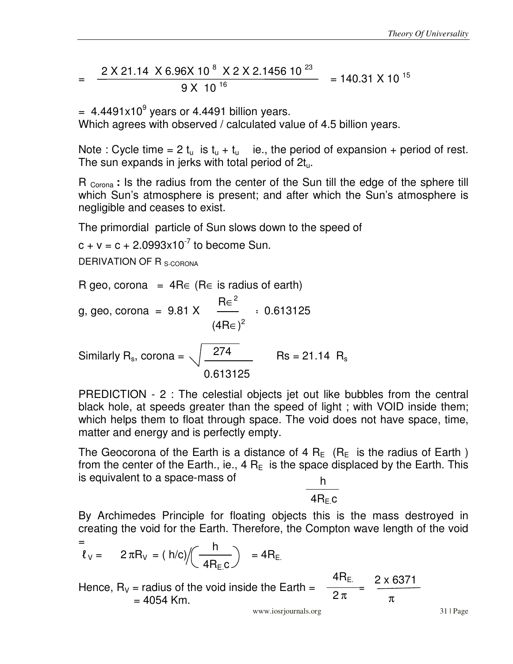$$
= \frac{2 \times 21.14 \times 6.96 \times 10^{8} \times 2 \times 2.1456 \times 10^{23}}{9 \times 10^{16}} = 140.31 \times 10^{15}
$$

 $= 4.4491x10<sup>9</sup>$  years or 4.4491 billion years.

Which agrees with observed / calculated value of 4.5 billion years.

Note : Cycle time = 2  $t_u$  is  $t_u + t_u$  ie., the period of expansion + period of rest. The sun expands in jerks with total period of  $2t<sub>u</sub>$ .

R <sub>Corona</sub> : Is the radius from the center of the Sun till the edge of the sphere till which Sun's atmosphere is present; and after which the Sun's atmosphere is negligible and ceases to exist.

The primordial particle of Sun slows down to the speed of

 $c + v = c + 2.0993x10^{-7}$  to become Sun.

DERIVATION OF R<sub>S-CORONA</sub>

R geo, corona = 4R∈ (R∈ is radius of earth)  
\ng, geo, corona = 9.81 X 
$$
\frac{Re^2}{(4Re)^2}
$$
 = 0.613125  
\n $\frac{274}{0.613125}$  Rs = 21.14 R<sub>s</sub>

PREDICTION - 2 : The celestial objects jet out like bubbles from the central black hole, at speeds greater than the speed of light ; with VOID inside them; which helps them to float through space. The void does not have space, time, matter and energy and is perfectly empty.

The Geocorona of the Earth is a distance of 4  $R_F$  ( $R_F$  is the radius of Earth) from the center of the Earth., ie., 4  $R_E$  is the space displaced by the Earth. This is equivalent to a space-mass of . h

 $4R<sub>F</sub>$ c

By Archimedes Principle for floating objects this is the mass destroyed in creating the void for the Earth. Therefore, the Compton wave length of the void

$$
= \frac{1}{\ell_v} = 2 \pi R_v = (h/c) / \left(\frac{h}{4R_{E.C}}\right) = 4R_{E.}
$$

Hence,  $R_V$  = radius of the void inside the Earth =  $= 4054$  Km.  $4 \mathsf{R}_{\mathsf{E}_\perp}$  2 π 2 x 6371 π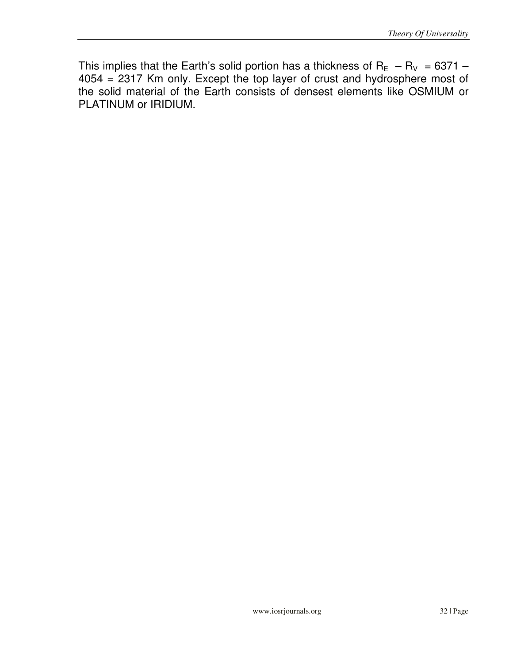This implies that the Earth's solid portion has a thickness of  $R_{E}$  –  $R_{V}$  = 6371 – 4054 = 2317 Km only. Except the top layer of crust and hydrosphere most of the solid material of the Earth consists of densest elements like OSMIUM or PLATINUM or IRIDIUM.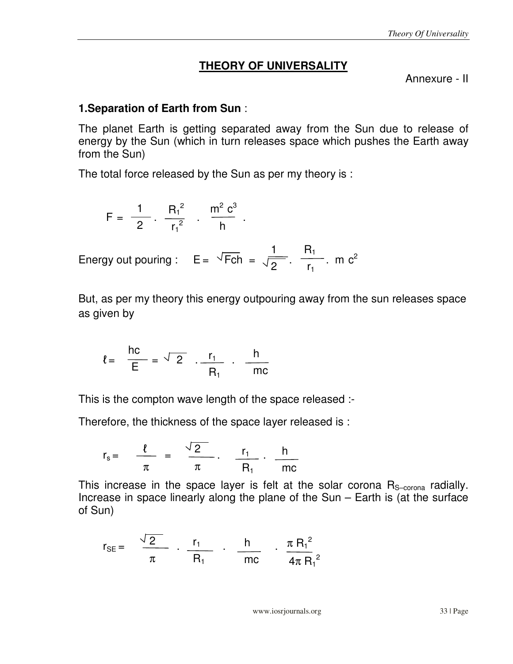#### **THEORY OF UNIVERSALITY**

Annexure - II

#### **1.Separation of Earth from Sun** :

The planet Earth is getting separated away from the Sun due to release of energy by the Sun (which in turn releases space which pushes the Earth away from the Sun)

The total force released by the Sun as per my theory is :

$$
F = \frac{1}{2} \cdot \frac{R_1^2}{r_1^2} \cdot \frac{m^2 c^3}{h}.
$$

Energy out pouring :  $E = \sqrt{Fch} = \sqrt{2}$ .  $\frac{R_1}{R_2}$ . m c<sup>2</sup>  $r_1$ 1 2

But, as per my theory this energy outpouring away from the sun releases space as given by

$$
\ell = \frac{hc}{E} = \frac{\sqrt{2}}{2} \cdot \frac{r_1}{R_1} \cdot \frac{h}{mc}
$$

This is the compton wave length of the space released :-

Therefore, the thickness of the space layer released is :

$$
r_s = \frac{\ell}{\pi} = \frac{\sqrt{2}}{\pi} \cdot \frac{r_1}{R_1} \cdot \frac{h}{mc}
$$

This increase in the space layer is felt at the solar corona  $R_{S-corona}$  radially. Increase in space linearly along the plane of the Sun – Earth is (at the surface of Sun)

$$
r_{\text{SE}} = \frac{\sqrt{2}}{\pi} \cdot \frac{r_1}{R_1} \cdot \frac{h}{mc} \cdot \frac{\pi R_1^2}{4\pi R_1^2}
$$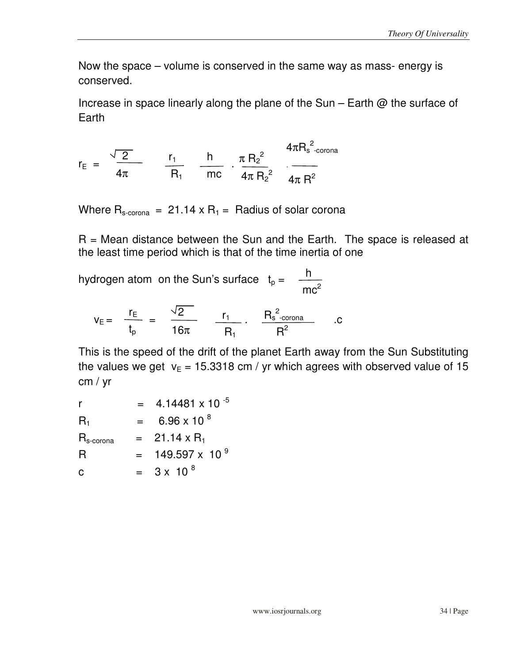Now the space – volume is conserved in the same way as mass- energy is conserved.

Increase in space linearly along the plane of the Sun – Earth @ the surface of **Earth** 

$$
r_{E} = \frac{\sqrt{2}}{4\pi} \qquad \frac{r_{1}}{R_{1}} \qquad \frac{h}{mc} \qquad \frac{\pi R_{2}^{2}}{4\pi R_{2}^{2}} \qquad \frac{4\pi R_{s}^{2} \text{.} \text{corona}}{4\pi R^{2}}
$$

Where  $R_{s-cona}$  = 21.14 x  $R_1$  = Radius of solar corona

 $R$  = Mean distance between the Sun and the Earth. The space is released at the least time period which is that of the time inertia of one

hydrogen atom on the Sun's surface  $t_p = \frac{-h}{h}$  $mc<sup>2</sup>$ 

$$
v_E = \frac{r_E}{t_p} = \frac{\sqrt{2}}{16\pi} \frac{r_1}{R_1} \cdot \frac{R_s^2_{\text{-corona}}}{R^2}
$$
.

This is the speed of the drift of the planet Earth away from the Sun Substituting the values we get  $v_E = 15.3318$  cm / yr which agrees with observed value of 15 cm / yr

| r                         |     | 4.14481 x 10 $^{-5}$      |
|---------------------------|-----|---------------------------|
| $\mathsf{R}_1$            | $=$ | 6.96 x 10 $^{8}$          |
| $R_{\rm s\text{-}corona}$ |     | $= 21.14 \times R_1$      |
| R                         |     | $= 149.597 \times 10^{9}$ |
| С                         | $=$ | $3 \times 10^{8}$         |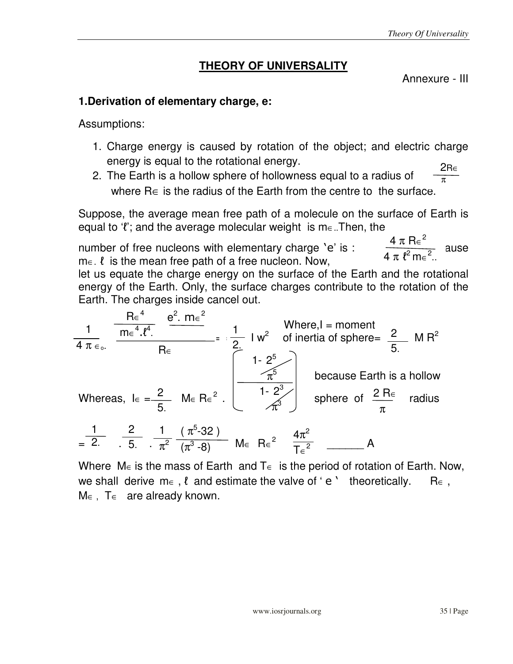# **THEORY OF UNIVERSALITY**

Annexure - III

## **1.Derivation of elementary charge, e:**

Assumptions:

- 1. Charge energy is caused by rotation of the object; and electric charge energy is equal to the rotational energy. 2R∈
- 2. The Earth is a hollow sphere of hollowness equal to a radius of where R∈ is the radius of the Earth from the centre to the surface.  $\overline{\pi}$

Suppose, the average mean free path of a molecule on the surface of Earth is equal to ' $\ell$ '; and the average molecular weight is m $\epsilon$ .. Then, the

number of free nucleons with elementary charge 'e' is :  $\frac{b}{2}$  ause  $m \in \ell$  is the mean free path of a free nucleon. Now,  $4\,\pi\,R\varepsilon^2$  $4 \pi \ell^2 m \epsilon^2$ ..

let us equate the charge energy on the surface of the Earth and the rotational energy of the Earth. Only, the surface charges contribute to the rotation of the Earth. The charges inside cancel out.

$$
\frac{1}{4 \pi \epsilon_{0}} \frac{Re^{4}}{me^{4} \cdot l^{4}} \frac{e^{2} \cdot m \epsilon^{2}}{Re}
$$
\n=  $\frac{1}{2}$  I w<sup>2</sup> of inertia of sphere =  $\frac{2}{5}$  M R<sup>2</sup>  
\nWhere,  
\n $1 - 2^{5}$   
\n $1 - 2^{5}$   
\n $1 - 2^{3}$   
\n $1 - 2^{3}$   
\n $1 - 2^{3}$   
\n $1 - 2^{3}$   
\n $1 - 2^{3}$   
\n $1 - 2^{3}$   
\n $1 - 2^{3}$   
\n $1 - 2^{3}$   
\n $1 - 2^{3}$   
\n $1 - 2^{3}$   
\n $1 - 2^{3}$   
\n $1 - 2^{3}$   
\n $1 - 2^{3}$   
\n $1 - 2^{3}$   
\n $1 - 2^{3}$   
\n $1 - 2^{3}$   
\n $1 - 2^{3}$   
\n $1 - 2^{3}$   
\n $1 - 2^{3}$   
\n $1 - 2^{3}$   
\n $1 - 2^{3}$   
\n $1 - 2^{3}$   
\n $1 - 2^{3}$   
\n $1 - 2^{3}$   
\n $1 - 2^{3}$   
\n $1 - 2^{3}$   
\n $1 - 2^{3}$   
\n $1 - 2^{3}$   
\n $1 - 2^{3}$   
\n $1 - 2^{3}$   
\n $1 - 2^{3}$   
\n $1 - 2^{3}$   
\n $1 - 2^{3}$   
\n $1 - 2^{3}$   
\n $1 - 2^{3}$   
\n $1 - 2^{3}$   
\n $1 - 2^{3}$   
\n $1 - 2^{3}$   
\n $1 - 2^{3}$   
\n $1 - 2^{3}$   
\n $1 - 2^{3}$   
\n $1 - 2^{3$ 

Where M∈ is the mass of Earth and T∈ is the period of rotation of Earth. Now, we shall derive m∈,  $\ell$  and estimate the valve of 'e ' theoretically. R∈,  $M \in$ ,  $T \in$  are already known.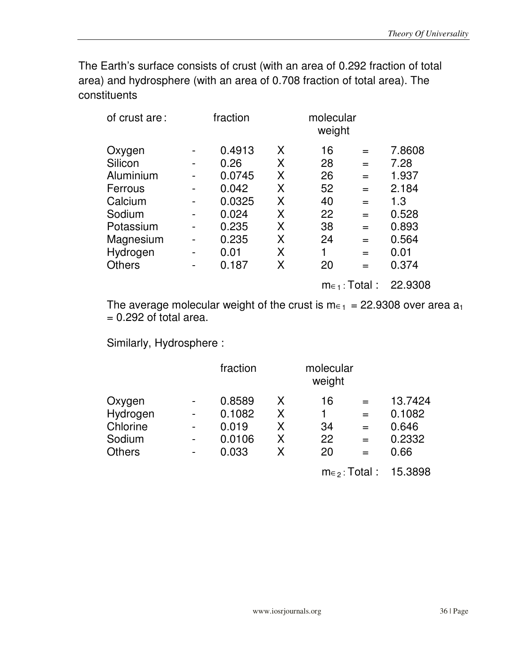The Earth's surface consists of crust (with an area of 0.292 fraction of total area) and hydrosphere (with an area of 0.708 fraction of total area). The constituents

| of crust are: | fraction |   | molecular<br>weight |     |        |
|---------------|----------|---|---------------------|-----|--------|
| Oxygen        | 0.4913   | X | 16                  | $=$ | 7.8608 |
| Silicon       | 0.26     | X | 28                  | $=$ | 7.28   |
| Aluminium     | 0.0745   | X | 26                  | $=$ | 1.937  |
| Ferrous       | 0.042    | X | 52                  | $=$ | 2.184  |
| Calcium       | 0.0325   | X | 40                  | $=$ | 1.3    |
| Sodium        | 0.024    | X | 22                  | $=$ | 0.528  |
| Potassium     | 0.235    | X | 38                  | $=$ | 0.893  |
| Magnesium     | 0.235    | X | 24                  | $=$ | 0.564  |
| Hydrogen      | 0.01     | X | 1                   | $=$ | 0.01   |
| <b>Others</b> | 0.187    | X | 20                  | $=$ | 0.374  |
|               |          |   |                     |     |        |

m∈1 : Total : 22.9308

The average molecular weight of the crust is  $m_{\epsilon_1}$  = 22.9308 over area  $a_1$  $= 0.292$  of total area.

Similarly, Hydrosphere :

|               | fraction |   | molecular<br>weight |     |         |  |
|---------------|----------|---|---------------------|-----|---------|--|
| Oxygen        | 0.8589   | x | 16                  | $=$ | 13.7424 |  |
| Hydrogen      | 0.1082   | Χ |                     |     | 0.1082  |  |
| Chlorine      | 0.019    | Χ | 34                  | $=$ | 0.646   |  |
| Sodium        | 0.0106   | Χ | 22                  |     | 0.2332  |  |
| <b>Others</b> | 0.033    | Χ | 20                  | $=$ | 0.66    |  |
|               |          |   |                     |     |         |  |

m∈2 : Total : 15.3898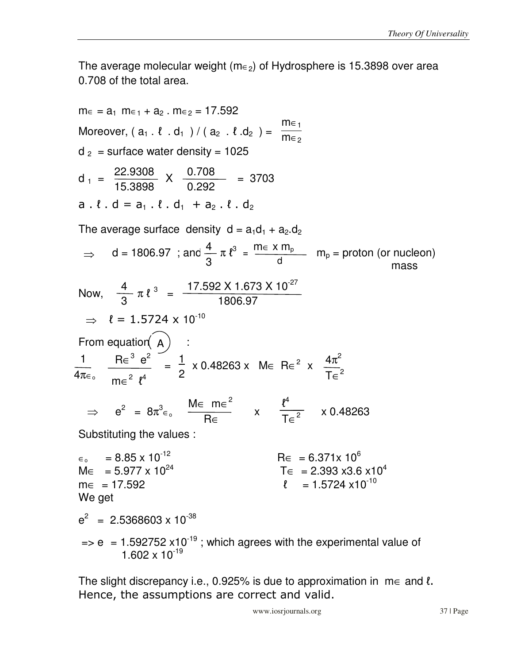The average molecular weight ( $m \in 2$ ) of Hydrosphere is 15.3898 over area 0.708 of the total area.

m∈ = a<sub>1</sub> m∈<sub>1</sub> + a<sub>2</sub> · m∈<sub>2</sub> = 17.592  
\nMoreover, (a<sub>1</sub> · l · d<sub>1</sub> ) / (a<sub>2</sub> · l · d<sub>2</sub>) = 
$$
\frac{m_{\epsilon_1}}{m_{\epsilon_2}}
$$
  
\nd<sub>2</sub> = surface water density = 1025  
\nd<sub>1</sub> =  $\frac{22.9308}{15.3898}$  ×  $\frac{0.708}{0.292}$  = 3703  
\na . l · d = a<sub>1</sub> · l · d<sub>1</sub> + a<sub>2</sub> · l · d<sub>2</sub>  
\nThe average surface density d = a<sub>1</sub>d<sub>1</sub> + a<sub>2</sub>d<sub>2</sub>  
\n⇒ d = 1806.97 ; and  $\frac{4}{3} \pi t^3 = \frac{m ∈ x m_p}{d}$  m<sub>p</sub> = proton (or nucleon)  
\nmass  
\nNow,  $\frac{4}{3} \pi t^3 = \frac{17.592 \times 1.673 \times 10^{27}}{1806.97}$   
\n⇒ l = 1.5724 × 10<sup>-10</sup>  
\nFrom equation (A) :  
\n $\frac{1}{4\pi \epsilon_0} \frac{Re^3 e^2}{me^2 t^4} = \frac{1}{2} \times 0.48263 \times Me Re^2 \times \frac{4\pi^2}{Te^2}$   
\n⇒ e<sup>2</sup> = 8π<sup>3</sup>ε<sub>0</sub>  $\frac{Me}{Re} = \frac{me^2}{Re}$  ×  $\frac{t^4}{Te^2}$  × 0.48263  
\nSubstituting the values :  
\nε<sub>0</sub> = 8.85 × 10<sup>-12</sup>  
\nMe = 5.977 × 10<sup>24</sup> T∈ 2.393 ×3.6 ×10<sup>4</sup>  
\nmε = 17.592 r = 1.5724 ×10<sup>-10</sup>  
\nWe get  
\ne<sup>2</sup> = 2.5368603 × 10<sup>-38</sup>  
\n⇒ e = 1.592752 ×10<

The slight discrepancy i.e., 0.925% is due to approximation in  $m \in \text{and } \ell$ . Hence, the assumptions are correct and valid.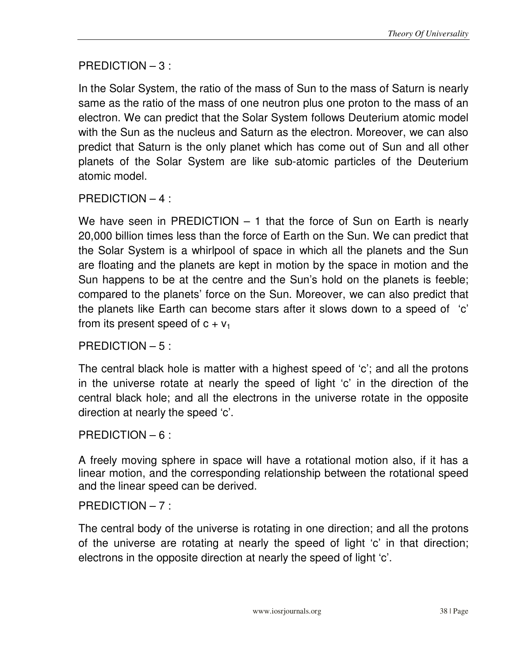# PREDICTION – 3 :

In the Solar System, the ratio of the mass of Sun to the mass of Saturn is nearly same as the ratio of the mass of one neutron plus one proton to the mass of an electron. We can predict that the Solar System follows Deuterium atomic model with the Sun as the nucleus and Saturn as the electron. Moreover, we can also predict that Saturn is the only planet which has come out of Sun and all other planets of the Solar System are like sub-atomic particles of the Deuterium atomic model.

## PREDICTION – 4 :

We have seen in PREDICTION – 1 that the force of Sun on Earth is nearly 20,000 billion times less than the force of Earth on the Sun. We can predict that the Solar System is a whirlpool of space in which all the planets and the Sun are floating and the planets are kept in motion by the space in motion and the Sun happens to be at the centre and the Sun's hold on the planets is feeble; compared to the planets' force on the Sun. Moreover, we can also predict that the planets like Earth can become stars after it slows down to a speed of 'c' from its present speed of  $c + v_1$ 

## PREDICTION – 5 :

The central black hole is matter with a highest speed of 'c'; and all the protons in the universe rotate at nearly the speed of light 'c' in the direction of the central black hole; and all the electrons in the universe rotate in the opposite direction at nearly the speed 'c'.

#### PREDICTION – 6 :

A freely moving sphere in space will have a rotational motion also, if it has a linear motion, and the corresponding relationship between the rotational speed and the linear speed can be derived.

#### PREDICTION – 7 :

The central body of the universe is rotating in one direction; and all the protons of the universe are rotating at nearly the speed of light 'c' in that direction; electrons in the opposite direction at nearly the speed of light 'c'.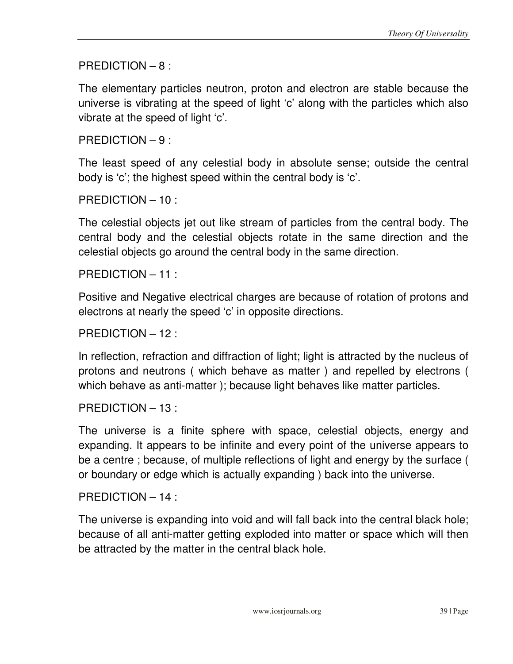PREDICTION – 8 :

The elementary particles neutron, proton and electron are stable because the universe is vibrating at the speed of light 'c' along with the particles which also vibrate at the speed of light 'c'.

PREDICTION – 9 :

The least speed of any celestial body in absolute sense; outside the central body is 'c'; the highest speed within the central body is 'c'.

PREDICTION – 10 :

The celestial objects jet out like stream of particles from the central body. The central body and the celestial objects rotate in the same direction and the celestial objects go around the central body in the same direction.

PREDICTION – 11 :

Positive and Negative electrical charges are because of rotation of protons and electrons at nearly the speed 'c' in opposite directions.

PREDICTION – 12 :

In reflection, refraction and diffraction of light; light is attracted by the nucleus of protons and neutrons ( which behave as matter ) and repelled by electrons ( which behave as anti-matter ); because light behaves like matter particles.

PREDICTION – 13 :

The universe is a finite sphere with space, celestial objects, energy and expanding. It appears to be infinite and every point of the universe appears to be a centre ; because, of multiple reflections of light and energy by the surface ( or boundary or edge which is actually expanding ) back into the universe.

PREDICTION – 14 :

The universe is expanding into void and will fall back into the central black hole; because of all anti-matter getting exploded into matter or space which will then be attracted by the matter in the central black hole.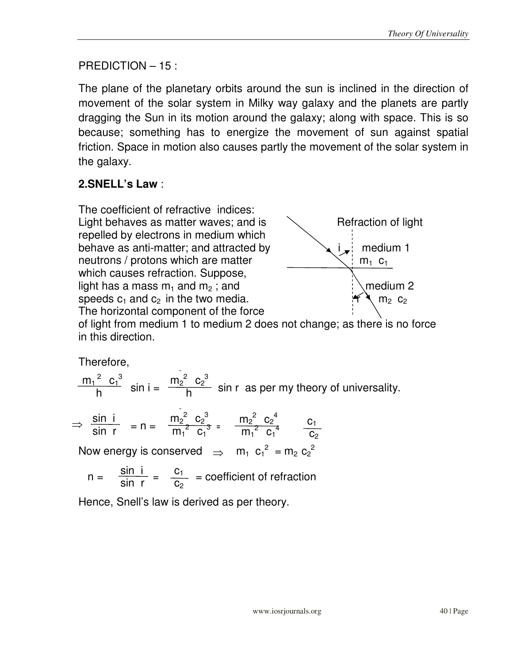## PREDICTION – 15 :

The plane of the planetary orbits around the sun is inclined in the direction of movement of the solar system in Milky way galaxy and the planets are partly dragging the Sun in its motion around the galaxy; along with space. This is so because; something has to energize the movement of sun against spatial friction. Space in motion also causes partly the movement of the solar system in the galaxy.

# **2.SNELL's Law** :

The coefficient of refractive indices: Light behaves as matter waves; and is  $\sim$  Refraction of light repelled by electrons in medium which behave as anti-matter; and attracted by  $\qquad \qquad \downarrow i$  i medium 1 neutrons / protons which are matter  $\forall$  i m<sub>1</sub> c<sub>1</sub> which causes refraction. Suppose, light has a mass  $m_1$  and  $m_2$ ; and medium 2 speeds  $c_1$  and  $c_2$  in the two media.  $r_1$  and  $r_2$  m<sub>2</sub> c<sub>2</sub> The horizontal component of the force



of light from medium 1 to medium 2 does not change; as there is no force in this direction.

Therefore,

 $m^2$   $\sim^3$   $m^2$   $\sim^3$  $\frac{m_1^2 C_1^3}{b}$  sin i =  $\frac{m_2^2 C_2^3}{b}$  sin r as per my theory of universality. h  $m_1^2$   $c_1^3$ h

$$
\Rightarrow \frac{\sin i}{\sin r} = n = \frac{m_2^2}{m_1^2} \frac{c_2^3}{c_1^3} = \frac{m_2^2}{m_1^2} \frac{c_2^4}{c_1^4} = \frac{c_1}{c_2}
$$

Now energy is conserved  $\Rightarrow$  m<sub>1</sub>  $c_1^2 = m_2 c_2^2$ 

$$
n = \frac{\sin i}{\sin r} = \frac{c_1}{c_2} = \text{coefficient of refraction}
$$

Hence, Snell's law is derived as per theory.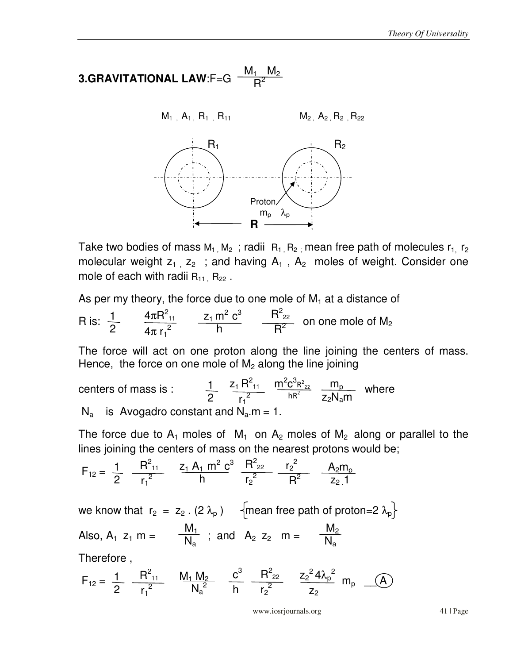3.GRAVITATIONAL LAW: 
$$
F=G
$$
  $\frac{M_1 \ M_2}{R^2}$ 



Take two bodies of mass  $M_1, M_2$ ; radii  $R_1, R_2$ ; mean free path of molecules  $r_1, r_2$ molecular weight  $z_1$ ,  $z_2$ ; and having  $A_1$ ,  $A_2$  moles of weight. Consider one mole of each with radii  $R_{11}$ ,  $R_{22}$ .

As per my theory, the force due to one mole of  $M_1$  at a distance of

R is:  $\frac{1}{2}$   $\frac{4\pi R^2_{11}}{12}$   $\frac{z_1 m^2 C^3}{B}$   $\frac{R^2_{22}}{B^2}$  on one mole of M<sub>2</sub> 2  $4\pi R^2_{11}$  $4\pi r_1^2$  $z_1$  m<sup>2</sup>  $c^3$  h  $R_{22}^2$  $R^2$ 

The force will act on one proton along the line joining the centers of mass. Hence, the force on one mole of  $M_2$  along the line joining

centers of mass is :  $\frac{1}{2}$   $\frac{z_1 R_{11}^2}{2}$   $\frac{m_1^2 C_1^2 R_{22}^2}{2R_1 R_2^2}$   $\frac{m_p}{2R_1 R_2^2}$  where  $N_a$  is Avogadro constant and  $N_a$ .m = 1.  $\overline{2}$  $z_1 R_{11}^2$  $r_1^2$  $m^2c^3R^2_{22}$  $hR^2$  $m_p$ z<sub>2</sub>N<sub>a</sub>m

The force due to  $A_1$  moles of  $M_1$  on  $A_2$  moles of  $M_2$  along or parallel to the lines joining the centers of mass on the nearest protons would be;

$$
F_{12} = \frac{1}{2} \frac{R_{11}^2}{r_1^2} \frac{z_1 A_1 m^2 c^3}{h} \frac{R_{22}^2}{r_2^2} \frac{r_2^2}{R^2} \frac{A_2 m_p}{z_2 1}
$$

we know that  $r_2 = z_2$ . (2  $\lambda_p$ )  $\qquad \{$ mean free path of proton=2  $\lambda_p$ } Also,  $A_1$   $z_1$   $m = \frac{m_1}{N_1}$ ; and  $A_2$   $z_2$   $m =$ Therefore ,  $M_1$  $\mathsf{N}_\mathsf{a}$  $M_2$  $\mathsf{N}_\mathsf{a}$ 

$$
F_{12}=\ \frac{1}{2} \quad \frac{R_{11}^2}{r_1^2} \qquad \frac{M_1 \ M_2}{N_a^2} \qquad \frac{c^3}{h} \quad \frac{R_{22}^2}{r_2^2} \qquad \frac{z_2{}^2 \ 4 \lambda_p{}^2}{z_2} \qquad m_p \quad \_ \_ (A)
$$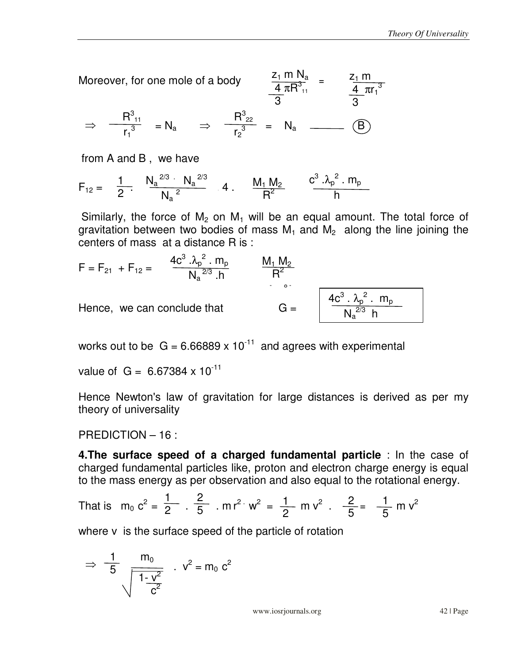Moreover, for one mole of a body  
\n
$$
\frac{z_1 \text{ m } N_a}{4 \pi R_{11}^3} = \frac{z_1 \text{ m}}{\frac{4}{3} \pi r_1^3}
$$
\n
$$
\Rightarrow \frac{R_{11}^3}{r_1^3} = N_a \Rightarrow \frac{R_{22}^3}{r_2^3} = N_a \longrightarrow \text{(B)}
$$

from A and B , we have

$$
F_{12} = \frac{1}{2}, \quad \frac{{N_a}^{2/3} \cdot {N_a}^{2/3}}{{N_a}^2} \quad 4 \quad \frac{M_1 M_2}{R^2} \quad \frac{c^3 \cdot {\lambda_p}^2 \cdot m_p}{h}
$$

Similarly, the force of  $M_2$  on  $M_1$  will be an equal amount. The total force of gravitation between two bodies of mass  $M_1$  and  $M_2$  along the line joining the centers of mass at a distance R is :

$$
F = F_{21} + F_{12} = \frac{4c^{3} \cdot \lambda_{p}^{2} \cdot m_{p}}{N_{a}^{2/3} \cdot h} \qquad \frac{M_{1} M_{2}}{R^{2}}
$$
  
Hence, we can conclude that  $G = \frac{4c^{3} \cdot \lambda_{p}^{2} \cdot m_{p}}{N_{a}^{2/3} h}$ 

works out to be  $G = 6.66889 \times 10^{-11}$  and agrees with experimental

value of  $G = 6.67384 \times 10^{-11}$ 

Hence Newton's law of gravitation for large distances is derived as per my theory of universality

PREDICTION – 16 :

**4.The surface speed of a charged fundamental particle** : In the case of charged fundamental particles like, proton and electron charge energy is equal to the mass energy as per observation and also equal to the rotational energy.

That is 
$$
m_0 c^2 = \frac{1}{2} \cdot \frac{2}{5}
$$
.  $mr^2 w^2 = \frac{1}{2} m v^2$ .  $\frac{2}{5} = \frac{1}{5} m v^2$ 

where v is the surface speed of the particle of rotation

$$
\Rightarrow \frac{1}{5} \frac{m_0}{\sqrt{1 - \frac{v^2}{c^2}}} \quad . \quad v^2 = m_0 \ c^2
$$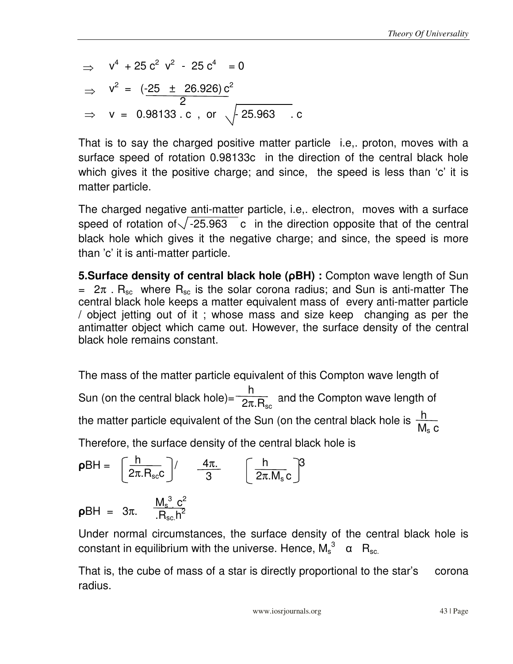$$
\Rightarrow v4 + 25 c2 v2 - 25 c4 = 0
$$
  
\n
$$
\Rightarrow v2 = (-25 \pm 26.926) c2
$$
  
\n
$$
\Rightarrow v = 0.98133 . c , or \sqrt{25.963 . c}
$$

That is to say the charged positive matter particle i.e,. proton, moves with a surface speed of rotation 0.98133c in the direction of the central black hole which gives it the positive charge; and since, the speed is less than 'c' it is matter particle.

The charged negative anti-matter particle, i.e,. electron, moves with a surface speed of rotation of  $\sqrt{-25.963}$  c in the direction opposite that of the central black hole which gives it the negative charge; and since, the speed is more than 'c' it is anti-matter particle.

**5.Surface density of central black hole (**ρ**BH) :** Compton wave length of Sun =  $2\pi$ . R<sub>sc</sub> where R<sub>sc</sub> is the solar corona radius; and Sun is anti-matter The central black hole keeps a matter equivalent mass of every anti-matter particle / object jetting out of it ; whose mass and size keep changing as per the antimatter object which came out. However, the surface density of the central black hole remains constant.

The mass of the matter particle equivalent of this Compton wave length of Sun (on the central black hole)= $\frac{1}{2\pi R}$  and the Compton wave length of the matter particle equivalent of the Sun (on the central black hole is  $\frac{h}{M}$ Therefore, the surface density of the central black hole is h 2π. $R_\mathrm{sc}$  $\mathsf{M}_\mathsf{s}$  c

$$
\rho BH = \left[\frac{h}{2\pi.R_{sc}}\right] / \frac{4\pi}{3} \left[\frac{h}{2\pi.M_{s}c}\right]^{3}
$$
  

$$
\rho BH = 3\pi. \frac{M_{s}^{3} c^{2}}{R_{sc}h^{2}}
$$

Under normal circumstances, the surface density of the central black hole is constant in equilibrium with the universe. Hence,  $\mathsf{M_s}^3$   $\,$   $\alpha$   $\,$   $\mathsf{R_{sc.}}$ 

That is, the cube of mass of a star is directly proportional to the star's corona radius.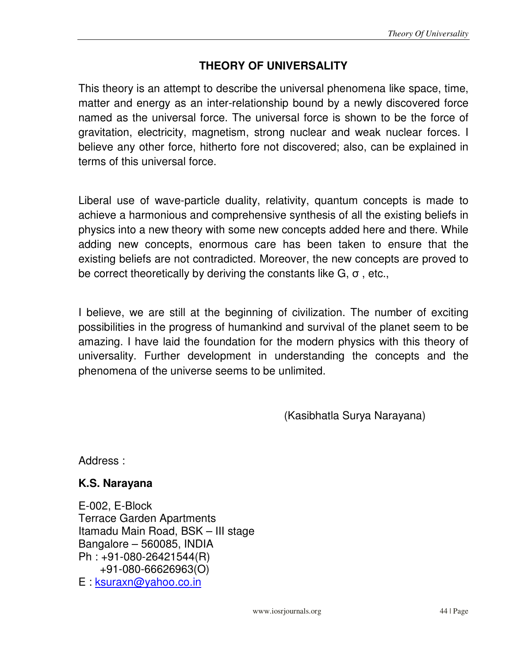# **THEORY OF UNIVERSALITY**

This theory is an attempt to describe the universal phenomena like space, time, matter and energy as an inter-relationship bound by a newly discovered force named as the universal force. The universal force is shown to be the force of gravitation, electricity, magnetism, strong nuclear and weak nuclear forces. I believe any other force, hitherto fore not discovered; also, can be explained in terms of this universal force.

Liberal use of wave-particle duality, relativity, quantum concepts is made to achieve a harmonious and comprehensive synthesis of all the existing beliefs in physics into a new theory with some new concepts added here and there. While adding new concepts, enormous care has been taken to ensure that the existing beliefs are not contradicted. Moreover, the new concepts are proved to be correct theoretically by deriving the constants like  $G, \sigma$ , etc.,

I believe, we are still at the beginning of civilization. The number of exciting possibilities in the progress of humankind and survival of the planet seem to be amazing. I have laid the foundation for the modern physics with this theory of universality. Further development in understanding the concepts and the phenomena of the universe seems to be unlimited.

(Kasibhatla Surya Narayana)

Address :

## **K.S. Narayana**

E-002, E-Block Terrace Garden Apartments Itamadu Main Road, BSK – III stage Bangalore – 560085, INDIA Ph : +91-080-26421544(R) +91-080-66626963(O) E : ksuraxn@yahoo.co.in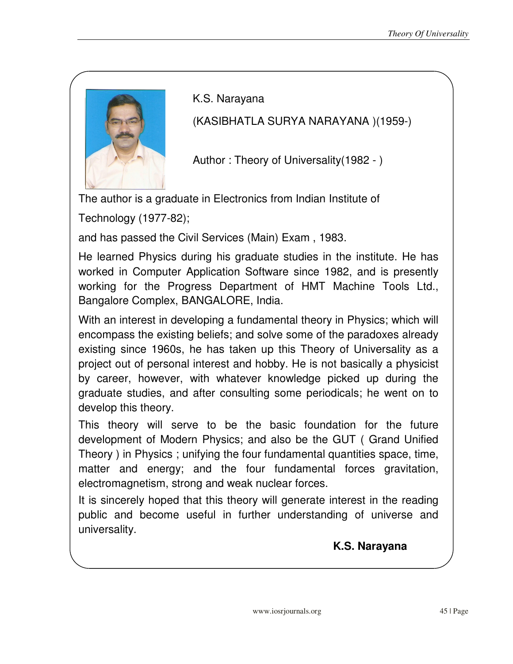

K.S. Narayana

(KASIBHATLA SURYA NARAYANA )(1959-)

Author : Theory of Universality(1982 - )

The author is a graduate in Electronics from Indian Institute of

Technology (1977-82);

and has passed the Civil Services (Main) Exam , 1983.

He learned Physics during his graduate studies in the institute. He has worked in Computer Application Software since 1982, and is presently working for the Progress Department of HMT Machine Tools Ltd., Bangalore Complex, BANGALORE, India.

With an interest in developing a fundamental theory in Physics; which will encompass the existing beliefs; and solve some of the paradoxes already existing since 1960s, he has taken up this Theory of Universality as a project out of personal interest and hobby. He is not basically a physicist by career, however, with whatever knowledge picked up during the graduate studies, and after consulting some periodicals; he went on to develop this theory.

This theory will serve to be the basic foundation for the future development of Modern Physics; and also be the GUT ( Grand Unified Theory ) in Physics ; unifying the four fundamental quantities space, time, matter and energy; and the four fundamental forces gravitation, electromagnetism, strong and weak nuclear forces.

It is sincerely hoped that this theory will generate interest in the reading public and become useful in further understanding of universe and universality.

 **K.S. Narayana**